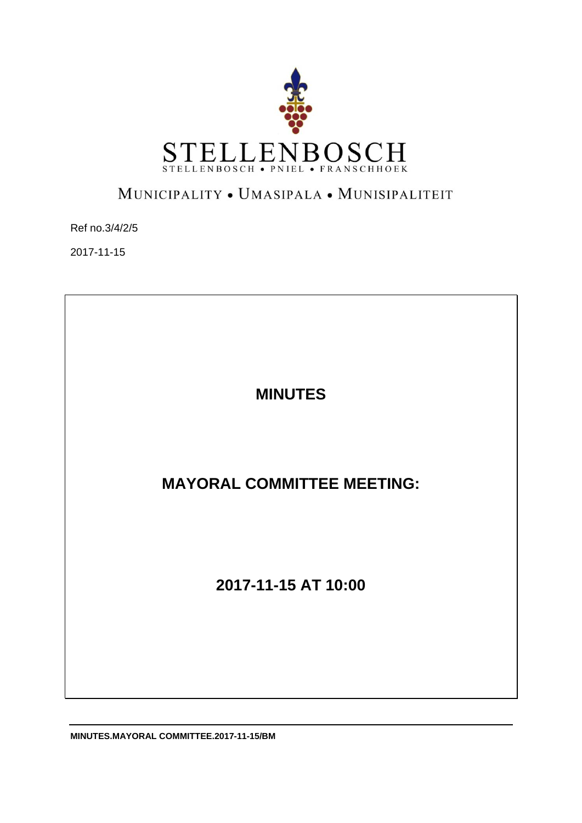

# MUNICIPALITY . UMASIPALA . MUNISIPALITEIT

Ref no.3/4/2/5

2017-11-15

**MINUTES** 

**MAYORAL COMMITTEE MEETING:** 

**2017-11-15 AT 10:00** 

**MINUTES.MAYORAL COMMITTEE.2017-11-15/BM**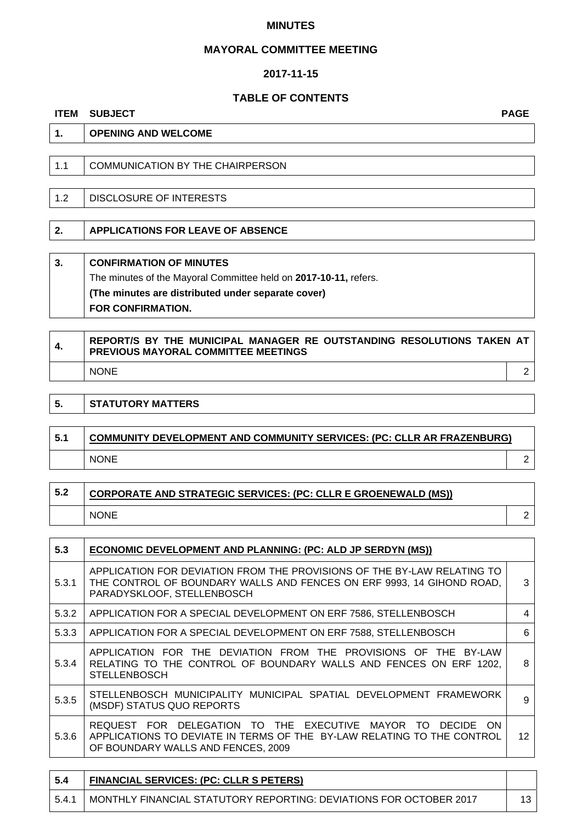#### **MINUTES**

#### **MAYORAL COMMITTEE MEETING**

#### **2017-11-15**

## **TABLE OF CONTENTS**

#### **ITEM SUBJECT PAGE**

# **1. OPENING AND WELCOME**

| 1.1 | COMMUNICATION BY THE CHAIRPERSON |
|-----|----------------------------------|
|-----|----------------------------------|

1.2 DISCLOSURE OF INTERESTS

**2. APPLICATIONS FOR LEAVE OF ABSENCE** 

# **3. CONFIRMATION OF MINUTES**

The minutes of the Mayoral Committee held on **2017-10-11,** refers.

**(The minutes are distributed under separate cover) FOR CONFIRMATION.** 

| 4. | REPORT/S BY THE MUNICIPAL MANAGER RE OUTSTANDING RESOLUTIONS TAKEN AT<br><b>PREVIOUS MAYORAL COMMITTEE MEETINGS</b> |  |
|----|---------------------------------------------------------------------------------------------------------------------|--|
|    | <b>NONE</b>                                                                                                         |  |

#### **5.** STATUTORY MATTERS

| 5.1 | <b>COMMUNITY DEVELOPMENT AND COMMUNITY SERVICES: (PC: CLLR AR FRAZENBURG)</b> |  |
|-----|-------------------------------------------------------------------------------|--|
|     | <b>NONE</b>                                                                   |  |

| 5.2 | CORPORATE AND STRATEGIC SERVICES: (PC: CLLR E GROENEWALD (MS)) |  |
|-----|----------------------------------------------------------------|--|
|     | <b>NONE</b>                                                    |  |

| 5.3   | ECONOMIC DEVELOPMENT AND PLANNING: (PC: ALD JP SERDYN (MS))                                                                                                                               |    |
|-------|-------------------------------------------------------------------------------------------------------------------------------------------------------------------------------------------|----|
| 5.3.1 | APPLICATION FOR DEVIATION FROM THE PROVISIONS OF THE BY-LAW RELATING TO<br>THE CONTROL OF BOUNDARY WALLS AND FENCES ON ERF 9993, 14 GIHOND ROAD,<br>PARADYSKLOOF, STELLENBOSCH            | 3  |
| 5.3.2 | APPLICATION FOR A SPECIAL DEVELOPMENT ON ERF 7586, STELLENBOSCH                                                                                                                           | 4  |
| 5.3.3 | APPLICATION FOR A SPECIAL DEVELOPMENT ON ERF 7588, STELLENBOSCH                                                                                                                           | 6  |
| 5.3.4 | APPLICATION FOR THE DEVIATION FROM THE PROVISIONS OF THE BY-LAW<br>RELATING TO THE CONTROL OF BOUNDARY WALLS AND FENCES ON ERF 1202,<br><b>STELLENBOSCH</b>                               | 8  |
| 5.3.5 | STELLENBOSCH MUNICIPALITY MUNICIPAL SPATIAL DEVELOPMENT FRAMEWORK<br>(MSDF) STATUS QUO REPORTS                                                                                            | 9  |
| 5.3.6 | REQUEST FOR DELEGATION TO THE EXECUTIVE MAYOR TO<br><b>DECIDE</b><br>. ON<br>APPLICATIONS TO DEVIATE IN TERMS OF THE BY-LAW RELATING TO THE CONTROL<br>OF BOUNDARY WALLS AND FENCES, 2009 | 12 |

| -5.4  | <b>FINANCIAL SERVICES: (PC: CLLR S PETERS)</b>                     |  |
|-------|--------------------------------------------------------------------|--|
| 5.4.1 | MONTHLY FINANCIAL STATUTORY REPORTING: DEVIATIONS FOR OCTOBER 2017 |  |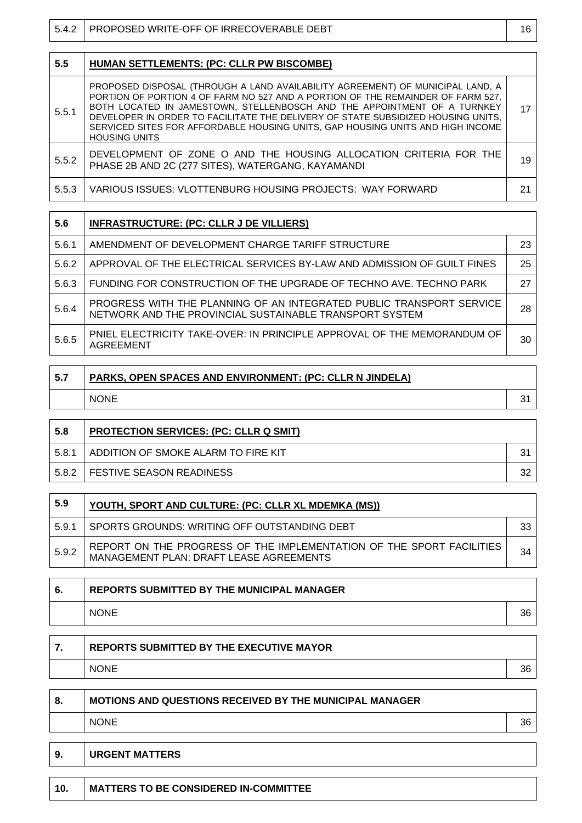| 5.4.2 | PROPOSED WRITE-OFF OF IRRECOVERABLE DEBT                                                                                                                                                                                                                                                                                                                                                                                                    | 16 |
|-------|---------------------------------------------------------------------------------------------------------------------------------------------------------------------------------------------------------------------------------------------------------------------------------------------------------------------------------------------------------------------------------------------------------------------------------------------|----|
|       |                                                                                                                                                                                                                                                                                                                                                                                                                                             |    |
| 5.5   | <b>HUMAN SETTLEMENTS: (PC: CLLR PW BISCOMBE)</b>                                                                                                                                                                                                                                                                                                                                                                                            |    |
| 5.5.1 | PROPOSED DISPOSAL (THROUGH A LAND AVAILABILITY AGREEMENT) OF MUNICIPAL LAND, A<br>PORTION OF PORTION 4 OF FARM NO 527 AND A PORTION OF THE REMAINDER OF FARM 527,<br>BOTH LOCATED IN JAMESTOWN, STELLENBOSCH AND THE APPOINTMENT OF A TURNKEY<br>DEVELOPER IN ORDER TO FACILITATE THE DELIVERY OF STATE SUBSIDIZED HOUSING UNITS,<br>SERVICED SITES FOR AFFORDABLE HOUSING UNITS, GAP HOUSING UNITS AND HIGH INCOME<br><b>HOUSING UNITS</b> | 17 |
| 5.5.2 | DEVELOPMENT OF ZONE O AND THE HOUSING ALLOCATION CRITERIA FOR THE<br>PHASE 2B AND 2C (277 SITES), WATERGANG, KAYAMANDI                                                                                                                                                                                                                                                                                                                      | 19 |
| 5.5.3 | VARIOUS ISSUES: VLOTTENBURG HOUSING PROJECTS: WAY FORWARD                                                                                                                                                                                                                                                                                                                                                                                   | 21 |

| 5.6   | <b>INFRASTRUCTURE: (PC: CLLR J DE VILLIERS)</b>                                                                                 |    |
|-------|---------------------------------------------------------------------------------------------------------------------------------|----|
| 5.6.1 | AMENDMENT OF DEVELOPMENT CHARGE TARIFF STRUCTURE                                                                                | 23 |
| 5.6.2 | APPROVAL OF THE ELECTRICAL SERVICES BY-LAW AND ADMISSION OF GUILT FINES                                                         | 25 |
| 5.6.3 | FUNDING FOR CONSTRUCTION OF THE UPGRADE OF TECHNO AVE. TECHNO PARK                                                              | 27 |
| 5.6.4 | PROGRESS WITH THE PLANNING OF AN INTEGRATED PUBLIC TRANSPORT SERVICE<br>NETWORK AND THE PROVINCIAL SUSTAINABLE TRANSPORT SYSTEM | 28 |
| 5.6.5 | PNIEL ELECTRICITY TAKE-OVER: IN PRINCIPLE APPROVAL OF THE MEMORANDUM OF<br>AGREEMENT                                            | 30 |

| 5.7 | <b>PARKS, OPEN SPACES AND ENVIRONMENT: (PC: CLLR N JINDELA)</b> |  |
|-----|-----------------------------------------------------------------|--|
|     | <b>NONE</b>                                                     |  |
|     |                                                                 |  |

| 5.8   | <b>PROTECTION SERVICES: (PC: CLLR Q SMIT)</b> |    |
|-------|-----------------------------------------------|----|
| 5.8.1 | ADDITION OF SMOKE ALARM TO FIRE KIT           | ب? |
| 5.8.2 | <b>FESTIVE SEASON READINESS</b>               | າເ |

| 5.9   | YOUTH, SPORT AND CULTURE: (PC: CLLR XL MDEMKA (MS))                                                             |    |
|-------|-----------------------------------------------------------------------------------------------------------------|----|
| 5.9.1 | SPORTS GROUNDS: WRITING OFF OUTSTANDING DEBT                                                                    | 33 |
| 5.9.2 | REPORT ON THE PROGRESS OF THE IMPLEMENTATION OF THE SPORT FACILITIES<br>MANAGEMENT PLAN: DRAFT LEASE AGREEMENTS | 34 |

| 6. | <b>REPORTS SUBMITTED BY THE MUNICIPAL MANAGER</b> |    |
|----|---------------------------------------------------|----|
|    | <b>NONE</b>                                       | 36 |

| <b>REPORTS SUBMITTED BY THE EXECUTIVE MAYOR</b> |    |
|-------------------------------------------------|----|
| <b>NONE</b>                                     | 36 |

| 8. | <b>MOTIONS AND QUESTIONS RECEIVED BY THE MUNICIPAL MANAGER</b> |    |
|----|----------------------------------------------------------------|----|
|    | <b>NONE</b>                                                    | 36 |

 $\overline{\phantom{0}}$ 

 $\overline{\phantom{0}}$ 

| 9.  | <b>URGENT MATTERS</b>                        |
|-----|----------------------------------------------|
| 10. | <b>MATTERS TO BE CONSIDERED IN-COMMITTEE</b> |

<u> 1989 - Johann Stein, marwolaethau a bhann an t-Amhain an t-Amhain an t-Amhain an t-Amhain an t-Amhain an t-A</u>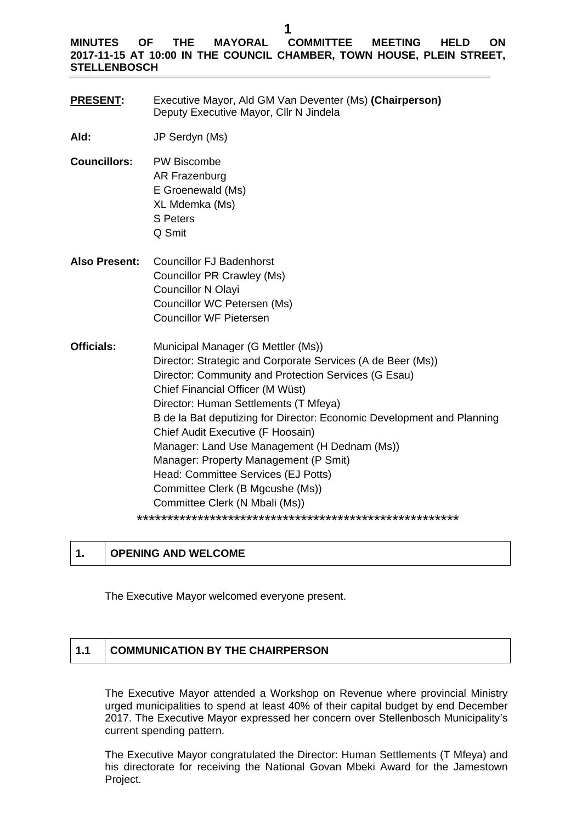#### **MINUTES OF THE MAYORAL COMMITTEE MEETING HELD ON 2017-11-15 AT 10:00 IN THE COUNCIL CHAMBER, TOWN HOUSE, PLEIN STREET, STELLENBOSCH**

- **PRESENT:** Executive Mayor, Ald GM Van Deventer (Ms) **(Chairperson)**  Deputy Executive Mayor, Cllr N Jindela
- **Ald:** JP Serdyn (Ms)
- **Councillors:** PW Biscombe AR Frazenburg E Groenewald (Ms) XL Mdemka (Ms) S Peters Q Smit
- **Also Present:** Councillor FJ Badenhorst Councillor PR Crawley (Ms) Councillor N Olayi Councillor WC Petersen (Ms) Councillor WF Pietersen
- **Officials:** Municipal Manager (G Mettler (Ms)) Director: Strategic and Corporate Services (A de Beer (Ms)) Director: Community and Protection Services (G Esau) Chief Financial Officer (M Wüst) Director: Human Settlements (T Mfeya) B de la Bat deputizing for Director: Economic Development and Planning Chief Audit Executive (F Hoosain) Manager: Land Use Management (H Dednam (Ms)) Manager: Property Management (P Smit) Head: Committee Services (EJ Potts) Committee Clerk (B Mgcushe (Ms)) Committee Clerk (N Mbali (Ms)) \*\*\*\*\*\*\*\*\*\*\*\*\*\*\*\*\*\*\*\*\*\*\*\*\*\*\*\*\*\*\*\*\*\*\*\*\*\*\*\*\*\*\*\*\*\*\*\*\*\*\*\*\*

#### **1. OPENING AND WELCOME**

The Executive Mayor welcomed everyone present.

# **1.1 COMMUNICATION BY THE CHAIRPERSON**

The Executive Mayor attended a Workshop on Revenue where provincial Ministry urged municipalities to spend at least 40% of their capital budget by end December 2017. The Executive Mayor expressed her concern over Stellenbosch Municipality's current spending pattern.

The Executive Mayor congratulated the Director: Human Settlements (T Mfeya) and his directorate for receiving the National Govan Mbeki Award for the Jamestown Project.

**1**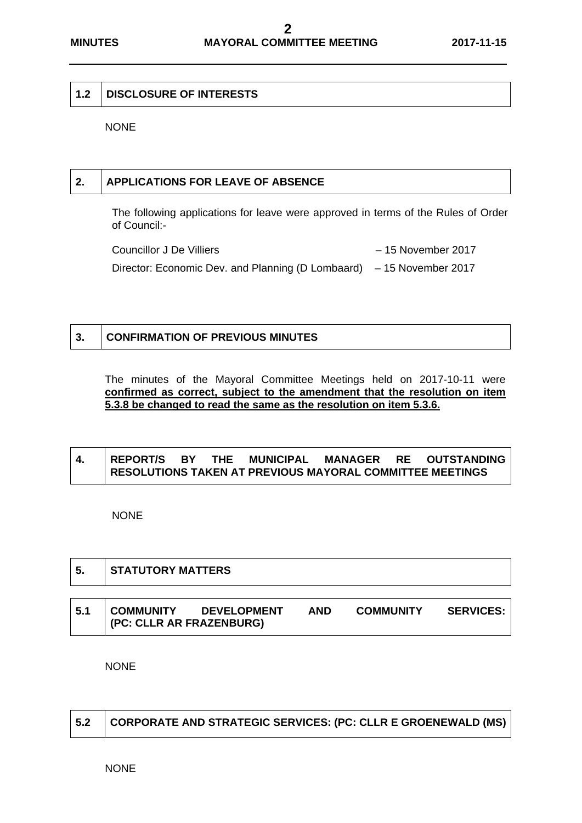#### **1.2 DISCLOSURE OF INTERESTS**

NONE

### **2. APPLICATIONS FOR LEAVE OF ABSENCE**

The following applications for leave were approved in terms of the Rules of Order of Council:-

Councillor J De Villiers – 15 November 2017 Director: Economic Dev. and Planning (D Lombaard) – 15 November 2017

#### **3. CONFIRMATION OF PREVIOUS MINUTES**

The minutes of the Mayoral Committee Meetings held on 2017-10-11 were **confirmed as correct, subject to the amendment that the resolution on item 5.3.8 be changed to read the same as the resolution on item 5.3.6.** 

# **4. REPORT/S BY THE MUNICIPAL MANAGER RE OUTSTANDING RESOLUTIONS TAKEN AT PREVIOUS MAYORAL COMMITTEE MEETINGS**

NONE

Г

┱

| -5. | <b>STATUTORY MATTERS</b>                     |                    |            |                  |                  |
|-----|----------------------------------------------|--------------------|------------|------------------|------------------|
| 5.1 | <b>COMMUNITY</b><br>(PC: CLLR AR FRAZENBURG) | <b>DEVELOPMENT</b> | <b>AND</b> | <b>COMMUNITY</b> | <b>SERVICES:</b> |

**NONE** 

|  | 5.2 CORPORATE AND STRATEGIC SERVICES: (PC: CLLR E GROENEWALD (MS) |
|--|-------------------------------------------------------------------|
|--|-------------------------------------------------------------------|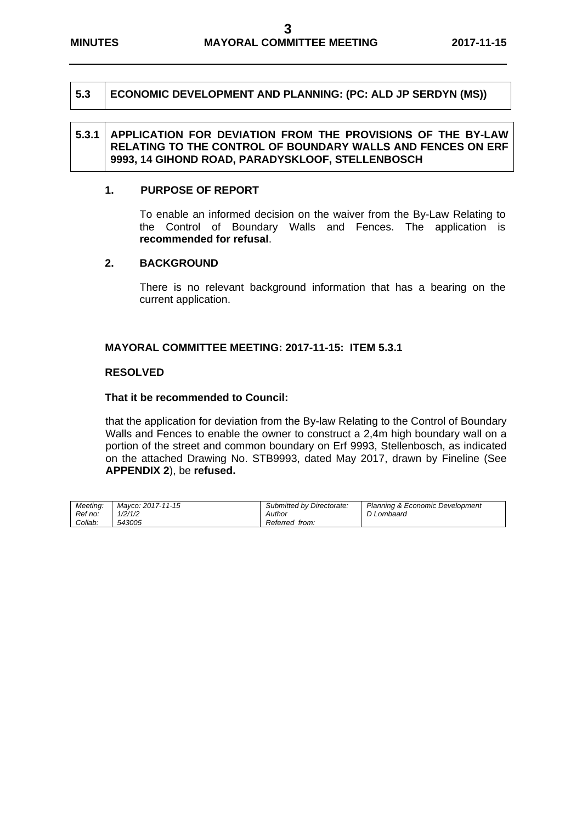#### **5.3 ECONOMIC DEVELOPMENT AND PLANNING: (PC: ALD JP SERDYN (MS))**

#### **5.3.1 APPLICATION FOR DEVIATION FROM THE PROVISIONS OF THE BY-LAW RELATING TO THE CONTROL OF BOUNDARY WALLS AND FENCES ON ERF 9993, 14 GIHOND ROAD, PARADYSKLOOF, STELLENBOSCH**

#### **1. PURPOSE OF REPORT**

To enable an informed decision on the waiver from the By-Law Relating to the Control of Boundary Walls and Fences. The application is **recommended for refusal**.

#### **2. BACKGROUND**

There is no relevant background information that has a bearing on the current application.

#### **MAYORAL COMMITTEE MEETING: 2017-11-15: ITEM 5.3.1**

#### **RESOLVED**

#### **That it be recommended to Council:**

that the application for deviation from the By-law Relating to the Control of Boundary Walls and Fences to enable the owner to construct a 2,4m high boundary wall on a portion of the street and common boundary on Erf 9993, Stellenbosch, as indicated on the attached Drawing No. STB9993, dated May 2017, drawn by Fineline (See **APPENDIX 2**), be **refused.** 

| Meetina: | Mavco: 2017-11-15 | Submitted by Directorate: | Planning & Economic Development |
|----------|-------------------|---------------------------|---------------------------------|
| Ref no:  | 1/2/1/2           | Author                    | D Lombaard                      |
| Collab:  | 543005            | Referred from:            |                                 |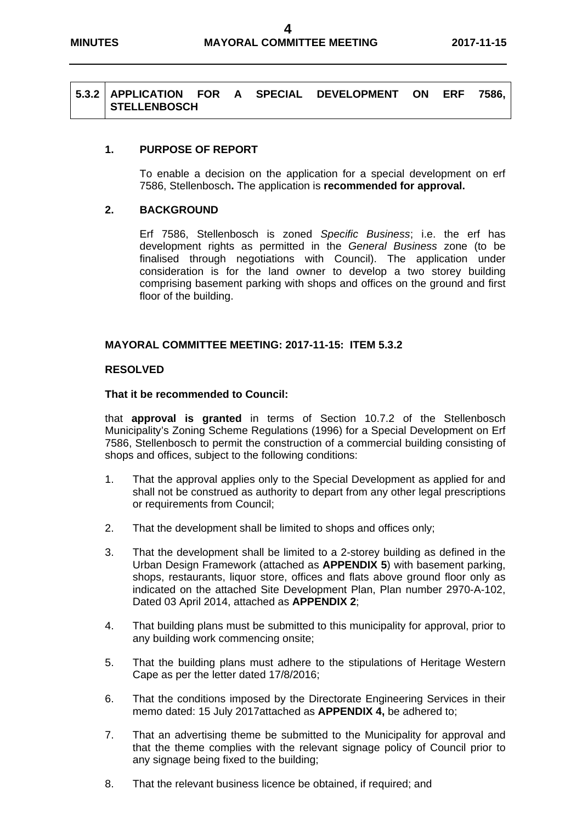#### **5.3.2 APPLICATION FOR A SPECIAL DEVELOPMENT ON ERF 7586, STELLENBOSCH**

#### **1. PURPOSE OF REPORT**

To enable a decision on the application for a special development on erf 7586, Stellenbosch**.** The application is **recommended for approval.** 

#### **2. BACKGROUND**

Erf 7586, Stellenbosch is zoned *Specific Business*; i.e. the erf has development rights as permitted in the *General Business* zone (to be finalised through negotiations with Council). The application under consideration is for the land owner to develop a two storey building comprising basement parking with shops and offices on the ground and first floor of the building.

#### **MAYORAL COMMITTEE MEETING: 2017-11-15: ITEM 5.3.2**

#### **RESOLVED**

#### **That it be recommended to Council:**

 that **approval is granted** in terms of Section 10.7.2 of the Stellenbosch Municipality's Zoning Scheme Regulations (1996) for a Special Development on Erf 7586, Stellenbosch to permit the construction of a commercial building consisting of shops and offices, subject to the following conditions:

- 1. That the approval applies only to the Special Development as applied for and shall not be construed as authority to depart from any other legal prescriptions or requirements from Council;
- 2. That the development shall be limited to shops and offices only;
- 3. That the development shall be limited to a 2-storey building as defined in the Urban Design Framework (attached as **APPENDIX 5**) with basement parking, shops, restaurants, liquor store, offices and flats above ground floor only as indicated on the attached Site Development Plan, Plan number 2970-A-102, Dated 03 April 2014, attached as **APPENDIX 2**;
- 4. That building plans must be submitted to this municipality for approval, prior to any building work commencing onsite;
- 5. That the building plans must adhere to the stipulations of Heritage Western Cape as per the letter dated 17/8/2016;
- 6. That the conditions imposed by the Directorate Engineering Services in their memo dated: 15 July 2017attached as **APPENDIX 4,** be adhered to;
- 7. That an advertising theme be submitted to the Municipality for approval and that the theme complies with the relevant signage policy of Council prior to any signage being fixed to the building;
- 8. That the relevant business licence be obtained, if required; and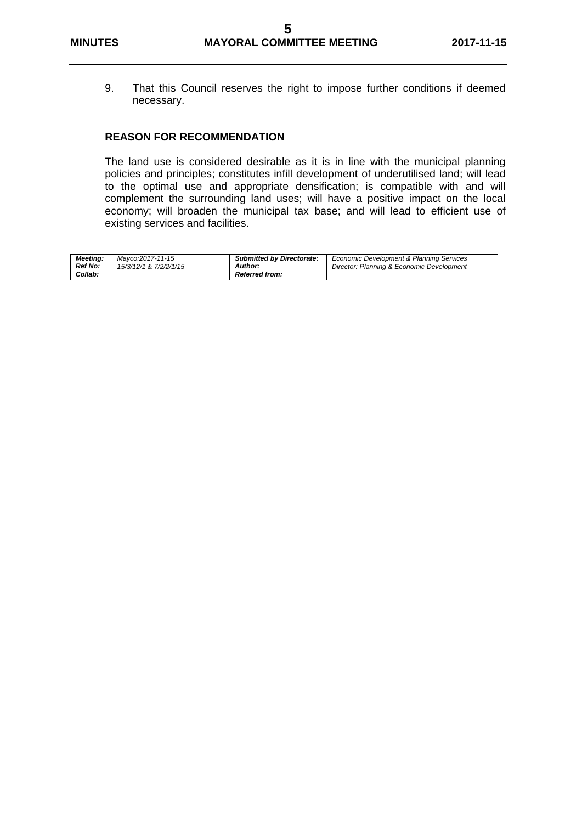9. That this Council reserves the right to impose further conditions if deemed necessary.

#### **REASON FOR RECOMMENDATION**

The land use is considered desirable as it is in line with the municipal planning policies and principles; constitutes infill development of underutilised land; will lead to the optimal use and appropriate densification; is compatible with and will complement the surrounding land uses; will have a positive impact on the local economy; will broaden the municipal tax base; and will lead to efficient use of existing services and facilities.

| <b>Meeting:</b> | Mavco:2017-11-15       | <b>Submitted by Directorate:</b> | Economic Development & Planning Services  |
|-----------------|------------------------|----------------------------------|-------------------------------------------|
| <b>Ref No:</b>  | 15/3/12/1 & 7/2/2/1/15 | Author:                          | Director: Planning & Economic Development |
| Collab:         |                        | <b>Referred from:</b>            |                                           |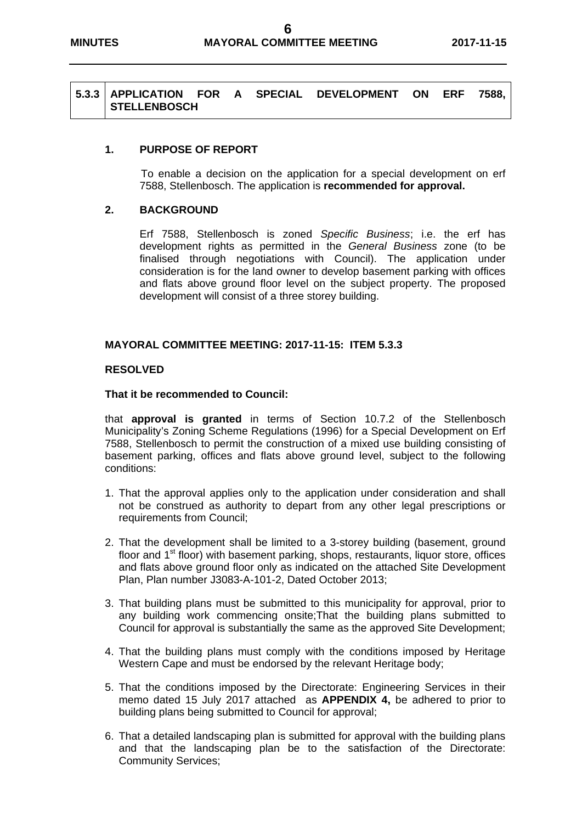#### **5.3.3 APPLICATION FOR A SPECIAL DEVELOPMENT ON ERF 7588, STELLENBOSCH**

#### **1. PURPOSE OF REPORT**

To enable a decision on the application for a special development on erf 7588, Stellenbosch. The application is **recommended for approval.**

#### **2. BACKGROUND**

Erf 7588, Stellenbosch is zoned *Specific Business*; i.e. the erf has development rights as permitted in the *General Business* zone (to be finalised through negotiations with Council). The application under consideration is for the land owner to develop basement parking with offices and flats above ground floor level on the subject property. The proposed development will consist of a three storey building.

#### **MAYORAL COMMITTEE MEETING: 2017-11-15: ITEM 5.3.3**

#### **RESOLVED**

#### **That it be recommended to Council:**

 that **approval is granted** in terms of Section 10.7.2 of the Stellenbosch Municipality's Zoning Scheme Regulations (1996) for a Special Development on Erf 7588, Stellenbosch to permit the construction of a mixed use building consisting of basement parking, offices and flats above ground level, subject to the following conditions:

- 1. That the approval applies only to the application under consideration and shall not be construed as authority to depart from any other legal prescriptions or requirements from Council;
- 2. That the development shall be limited to a 3-storey building (basement, ground floor and  $1<sup>st</sup>$  floor) with basement parking, shops, restaurants, liquor store, offices and flats above ground floor only as indicated on the attached Site Development Plan, Plan number J3083-A-101-2, Dated October 2013;
- 3. That building plans must be submitted to this municipality for approval, prior to any building work commencing onsite;That the building plans submitted to Council for approval is substantially the same as the approved Site Development;
- 4. That the building plans must comply with the conditions imposed by Heritage Western Cape and must be endorsed by the relevant Heritage body;
- 5. That the conditions imposed by the Directorate: Engineering Services in their memo dated 15 July 2017 attached as **APPENDIX 4,** be adhered to prior to building plans being submitted to Council for approval;
- 6. That a detailed landscaping plan is submitted for approval with the building plans and that the landscaping plan be to the satisfaction of the Directorate: Community Services;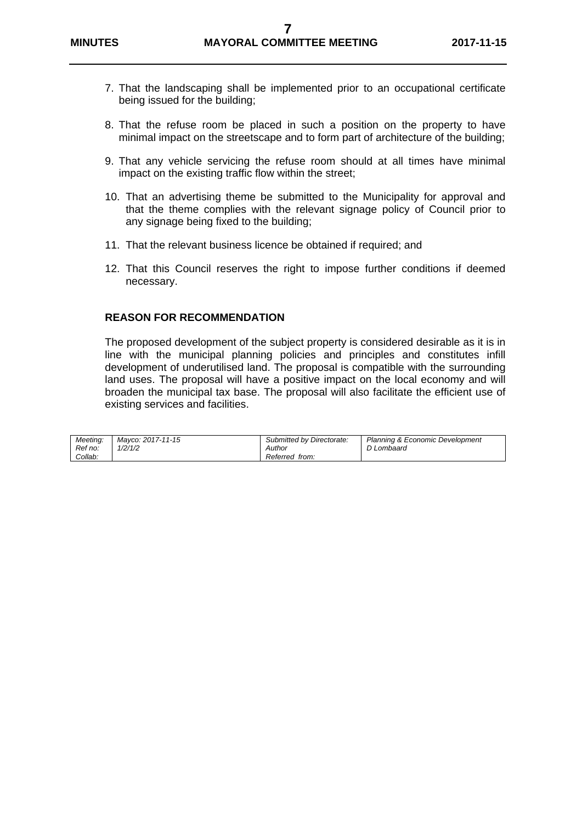- 7. That the landscaping shall be implemented prior to an occupational certificate being issued for the building;
- 8. That the refuse room be placed in such a position on the property to have minimal impact on the streetscape and to form part of architecture of the building;
- 9. That any vehicle servicing the refuse room should at all times have minimal impact on the existing traffic flow within the street;
- 10. That an advertising theme be submitted to the Municipality for approval and that the theme complies with the relevant signage policy of Council prior to any signage being fixed to the building;
- 11. That the relevant business licence be obtained if required; and
- 12. That this Council reserves the right to impose further conditions if deemed necessary.

#### **REASON FOR RECOMMENDATION**

The proposed development of the subject property is considered desirable as it is in line with the municipal planning policies and principles and constitutes infill development of underutilised land. The proposal is compatible with the surrounding land uses. The proposal will have a positive impact on the local economy and will broaden the municipal tax base. The proposal will also facilitate the efficient use of existing services and facilities.

| Meetina: | Mavco: 2017-11-15 | Submitted by Directorate: | Planning & Economic Development |
|----------|-------------------|---------------------------|---------------------------------|
| Ref no:  | 1/2/1/2           | Author                    | D Lombaard                      |
| Collab:  |                   | Referred from:            |                                 |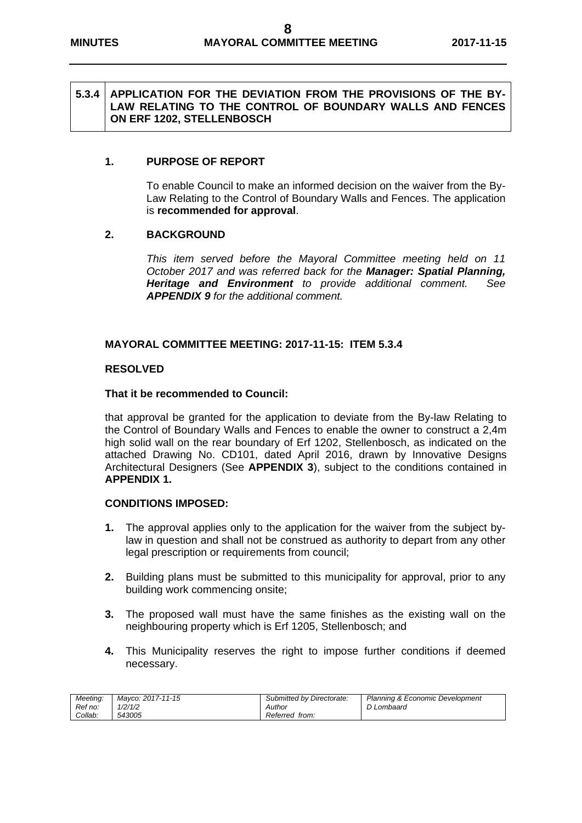#### **5.3.4 APPLICATION FOR THE DEVIATION FROM THE PROVISIONS OF THE BY-LAW RELATING TO THE CONTROL OF BOUNDARY WALLS AND FENCES ON ERF 1202, STELLENBOSCH**

#### **1. PURPOSE OF REPORT**

To enable Council to make an informed decision on the waiver from the By-Law Relating to the Control of Boundary Walls and Fences. The application is **recommended for approval**.

#### **2. BACKGROUND**

*This item served before the Mayoral Committee meeting held on 11 October 2017 and was referred back for the Manager: Spatial Planning, Heritage and Environment to provide additional comment. See APPENDIX 9 for the additional comment.* 

#### **MAYORAL COMMITTEE MEETING: 2017-11-15: ITEM 5.3.4**

#### **RESOLVED**

#### **That it be recommended to Council:**

that approval be granted for the application to deviate from the By-law Relating to the Control of Boundary Walls and Fences to enable the owner to construct a 2,4m high solid wall on the rear boundary of Erf 1202, Stellenbosch, as indicated on the attached Drawing No. CD101, dated April 2016, drawn by Innovative Designs Architectural Designers (See **APPENDIX 3**), subject to the conditions contained in **APPENDIX 1.** 

#### **CONDITIONS IMPOSED:**

- **1.** The approval applies only to the application for the waiver from the subject bylaw in question and shall not be construed as authority to depart from any other legal prescription or requirements from council;
- **2.** Building plans must be submitted to this municipality for approval, prior to any building work commencing onsite;
- **3.** The proposed wall must have the same finishes as the existing wall on the neighbouring property which is Erf 1205, Stellenbosch; and
- **4.** This Municipality reserves the right to impose further conditions if deemed necessary.

| Meetina: | Mavco: 2017-11-15 | Submitted by Directorate: | Planning & Economic Development |
|----------|-------------------|---------------------------|---------------------------------|
| Ref no:  | /2/1/2            | Author                    | D Lombaard                      |
| Collab:  | 543005            | Referred from:            |                                 |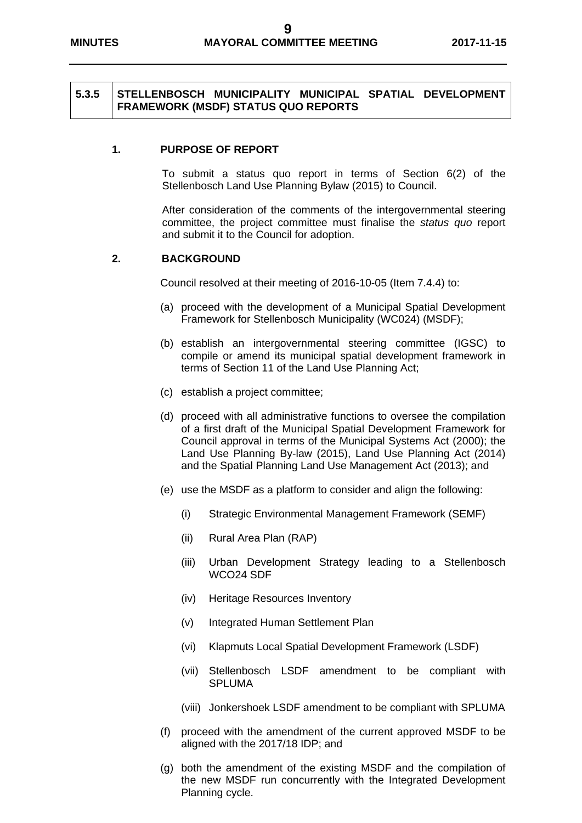#### **5.3.5 STELLENBOSCH MUNICIPALITY MUNICIPAL SPATIAL DEVELOPMENT FRAMEWORK (MSDF) STATUS QUO REPORTS**

#### **1. PURPOSE OF REPORT**

To submit a status quo report in terms of Section 6(2) of the Stellenbosch Land Use Planning Bylaw (2015) to Council.

After consideration of the comments of the intergovernmental steering committee, the project committee must finalise the *status quo* report and submit it to the Council for adoption.

#### **2. BACKGROUND**

Council resolved at their meeting of 2016-10-05 (Item 7.4.4) to:

- (a) proceed with the development of a Municipal Spatial Development Framework for Stellenbosch Municipality (WC024) (MSDF);
- (b) establish an intergovernmental steering committee (IGSC) to compile or amend its municipal spatial development framework in terms of Section 11 of the Land Use Planning Act;
- (c) establish a project committee;
- (d) proceed with all administrative functions to oversee the compilation of a first draft of the Municipal Spatial Development Framework for Council approval in terms of the Municipal Systems Act (2000); the Land Use Planning By-law (2015), Land Use Planning Act (2014) and the Spatial Planning Land Use Management Act (2013); and
- (e) use the MSDF as a platform to consider and align the following:
	- (i) Strategic Environmental Management Framework (SEMF)
	- (ii) Rural Area Plan (RAP)
	- (iii) Urban Development Strategy leading to a Stellenbosch WCO24 SDF
	- (iv) Heritage Resources Inventory
	- (v) Integrated Human Settlement Plan
	- (vi) Klapmuts Local Spatial Development Framework (LSDF)
	- (vii) Stellenbosch LSDF amendment to be compliant with SPLUMA
	- (viii) Jonkershoek LSDF amendment to be compliant with SPLUMA
- (f) proceed with the amendment of the current approved MSDF to be aligned with the 2017/18 IDP; and
- (g) both the amendment of the existing MSDF and the compilation of the new MSDF run concurrently with the Integrated Development Planning cycle.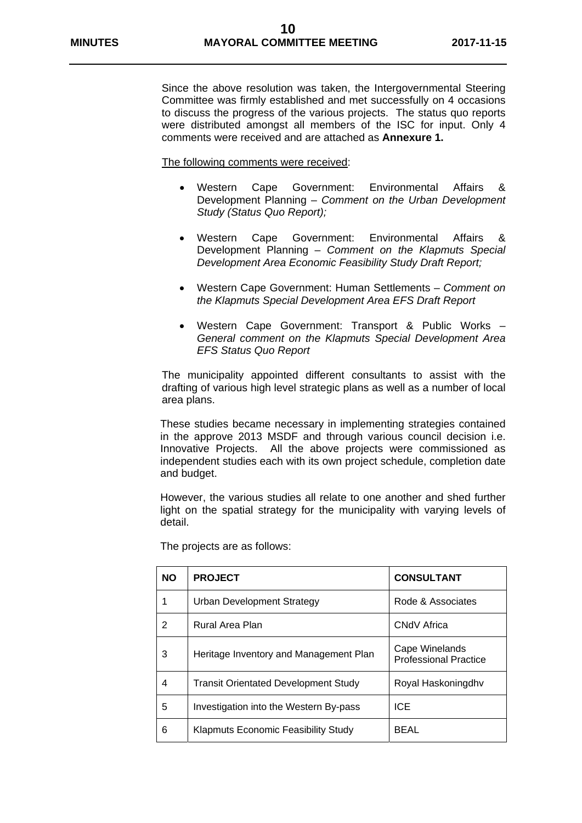Since the above resolution was taken, the Intergovernmental Steering Committee was firmly established and met successfully on 4 occasions to discuss the progress of the various projects. The status quo reports were distributed amongst all members of the ISC for input. Only 4 comments were received and are attached as **Annexure 1.** 

The following comments were received:

- Western Cape Government: Environmental Affairs & Development Planning – *Comment on the Urban Development Study (Status Quo Report);*
- Western Cape Government: Environmental Affairs & Development Planning – *Comment on the Klapmuts Special Development Area Economic Feasibility Study Draft Report;*
- Western Cape Government: Human Settlements *Comment on the Klapmuts Special Development Area EFS Draft Report*
- Western Cape Government: Transport & Public Works *General comment on the Klapmuts Special Development Area EFS Status Quo Report*

The municipality appointed different consultants to assist with the drafting of various high level strategic plans as well as a number of local area plans.

These studies became necessary in implementing strategies contained in the approve 2013 MSDF and through various council decision i.e. Innovative Projects. All the above projects were commissioned as independent studies each with its own project schedule, completion date and budget.

However, the various studies all relate to one another and shed further light on the spatial strategy for the municipality with varying levels of detail.

| <b>NO</b> | <b>PROJECT</b>                              | <b>CONSULTANT</b>                              |
|-----------|---------------------------------------------|------------------------------------------------|
| 1         | <b>Urban Development Strategy</b>           | Rode & Associates                              |
| 2         | Rural Area Plan                             | CNdV Africa                                    |
| 3         | Heritage Inventory and Management Plan      | Cape Winelands<br><b>Professional Practice</b> |
| 4         | <b>Transit Orientated Development Study</b> | Royal Haskoningdhy                             |
| 5         | Investigation into the Western By-pass      | ICE.                                           |
| 6         | <b>Klapmuts Economic Feasibility Study</b>  | BEAL                                           |

The projects are as follows: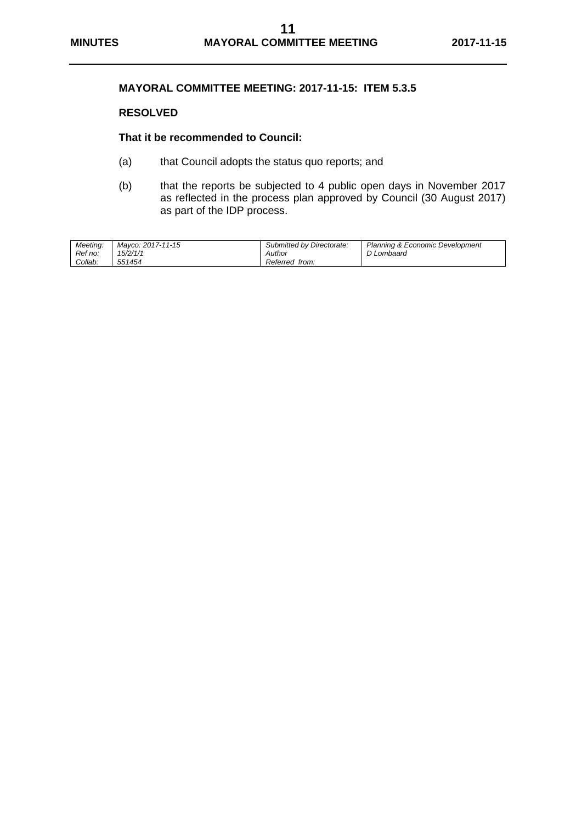#### **MAYORAL COMMITTEE MEETING: 2017-11-15: ITEM 5.3.5**

#### **RESOLVED**

#### **That it be recommended to Council:**

- (a) that Council adopts the status quo reports; and
- (b) that the reports be subjected to 4 public open days in November 2017 as reflected in the process plan approved by Council (30 August 2017) as part of the IDP process.

| Meetina: | Mavco: 2017-11-15 | Submitted by Directorate: | Planning & Economic Development |
|----------|-------------------|---------------------------|---------------------------------|
| Ref no:  | 15/2/1/1          | Author                    | D Lombaard                      |
| Collab:  | 551454            | Referred from:            |                                 |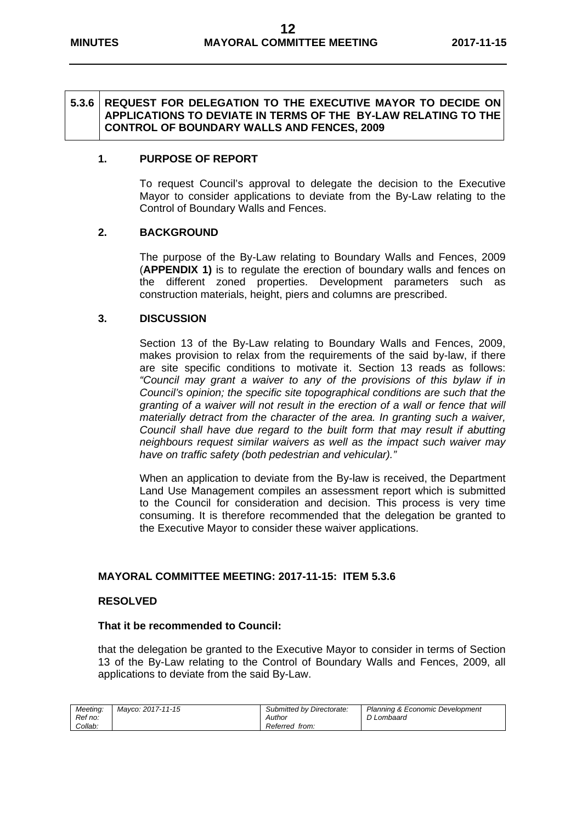#### **5.3.6 REQUEST FOR DELEGATION TO THE EXECUTIVE MAYOR TO DECIDE ON APPLICATIONS TO DEVIATE IN TERMS OF THE BY-LAW RELATING TO THE CONTROL OF BOUNDARY WALLS AND FENCES, 2009**

#### **1. PURPOSE OF REPORT**

To request Council's approval to delegate the decision to the Executive Mayor to consider applications to deviate from the By-Law relating to the Control of Boundary Walls and Fences.

#### **2. BACKGROUND**

The purpose of the By-Law relating to Boundary Walls and Fences, 2009 (**APPENDIX 1)** is to regulate the erection of boundary walls and fences on the different zoned properties. Development parameters such as construction materials, height, piers and columns are prescribed.

#### **3. DISCUSSION**

Section 13 of the By-Law relating to Boundary Walls and Fences, 2009, makes provision to relax from the requirements of the said by-law, if there are site specific conditions to motivate it. Section 13 reads as follows: *"Council may grant a waiver to any of the provisions of this bylaw if in Council's opinion; the specific site topographical conditions are such that the granting of a waiver will not result in the erection of a wall or fence that will materially detract from the character of the area. In granting such a waiver, Council shall have due regard to the built form that may result if abutting neighbours request similar waivers as well as the impact such waiver may have on traffic safety (both pedestrian and vehicular)."* 

When an application to deviate from the By-law is received, the Department Land Use Management compiles an assessment report which is submitted to the Council for consideration and decision. This process is very time consuming. It is therefore recommended that the delegation be granted to the Executive Mayor to consider these waiver applications.

#### **MAYORAL COMMITTEE MEETING: 2017-11-15: ITEM 5.3.6**

#### **RESOLVED**

#### **That it be recommended to Council:**

that the delegation be granted to the Executive Mayor to consider in terms of Section 13 of the By-Law relating to the Control of Boundary Walls and Fences, 2009, all applications to deviate from the said By-Law.

| Meeting: | Mavco: 2017-11-15 | Submitted by Directorate: | <b>Planning &amp; Economic Development</b> |
|----------|-------------------|---------------------------|--------------------------------------------|
| Ref no:  |                   | Author                    | D Lombaard                                 |
| Collab:  |                   | Referred from:            |                                            |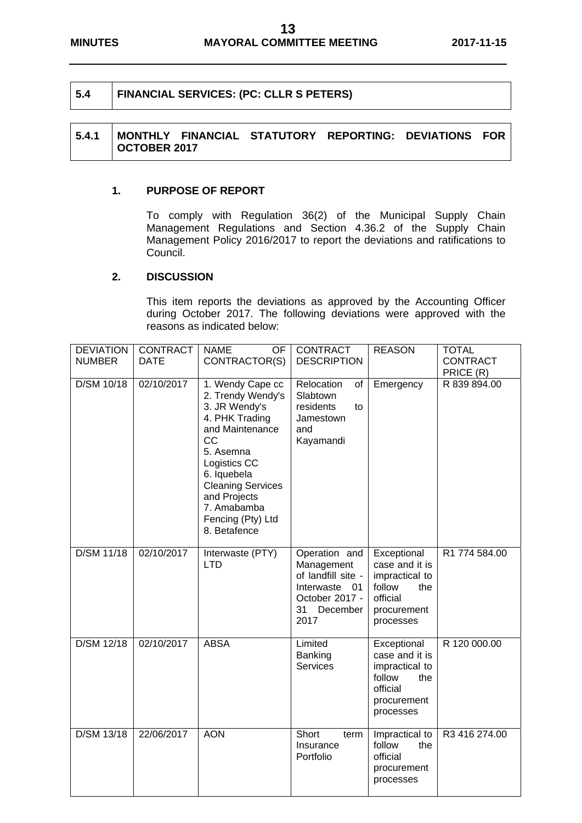#### **5.4 FINANCIAL SERVICES: (PC: CLLR S PETERS)**

#### **5.4.1 MONTHLY FINANCIAL STATUTORY REPORTING: DEVIATIONS FOR OCTOBER 2017**

#### **1. PURPOSE OF REPORT**

To comply with Regulation 36(2) of the Municipal Supply Chain Management Regulations and Section 4.36.2 of the Supply Chain Management Policy 2016/2017 to report the deviations and ratifications to Council.

#### **2. DISCUSSION**

This item reports the deviations as approved by the Accounting Officer during October 2017. The following deviations were approved with the reasons as indicated below:

| <b>DEVIATION</b><br><b>NUMBER</b> | <b>CONTRACT</b><br><b>DATE</b> | <b>NAME</b><br>OF.<br>CONTRACTOR(S)                                                                                                                                                                                                           | <b>CONTRACT</b><br><b>DESCRIPTION</b>                                                                             | <b>REASON</b>                                                                                            | <b>TOTAL</b><br><b>CONTRACT</b><br>PRICE (R) |
|-----------------------------------|--------------------------------|-----------------------------------------------------------------------------------------------------------------------------------------------------------------------------------------------------------------------------------------------|-------------------------------------------------------------------------------------------------------------------|----------------------------------------------------------------------------------------------------------|----------------------------------------------|
| D/SM 10/18                        | 02/10/2017                     | 1. Wendy Cape cc<br>2. Trendy Wendy's<br>3. JR Wendy's<br>4. PHK Trading<br>and Maintenance<br>CC<br>5. Asemna<br>Logistics CC<br>6. Iquebela<br><b>Cleaning Services</b><br>and Projects<br>7. Amabamba<br>Fencing (Pty) Ltd<br>8. Betafence | Relocation<br>of<br>Slabtown<br>residents<br>to<br>Jamestown<br>and<br>Kayamandi                                  | Emergency                                                                                                | R 839 894.00                                 |
| D/SM 11/18                        | 02/10/2017                     | Interwaste (PTY)<br><b>LTD</b>                                                                                                                                                                                                                | Operation and<br>Management<br>of landfill site -<br>Interwaste<br>01<br>October 2017 -<br>31<br>December<br>2017 | Exceptional<br>case and it is<br>impractical to<br>follow<br>the<br>official<br>procurement<br>processes | R1 774 584.00                                |
| D/SM 12/18                        | 02/10/2017                     | <b>ABSA</b>                                                                                                                                                                                                                                   | Limited<br>Banking<br><b>Services</b>                                                                             | Exceptional<br>case and it is<br>impractical to<br>follow<br>the<br>official<br>procurement<br>processes | R 120 000.00                                 |
| D/SM 13/18                        | 22/06/2017                     | <b>AON</b>                                                                                                                                                                                                                                    | Short<br>term<br>Insurance<br>Portfolio                                                                           | Impractical to<br>follow<br>the<br>official<br>procurement<br>processes                                  | R3 416 274.00                                |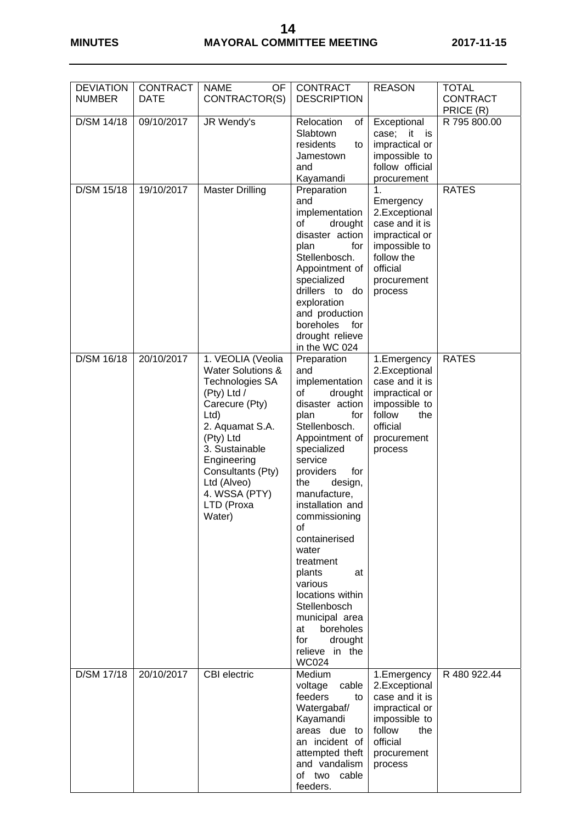### **14 MINUTES MAYORAL COMMITTEE MEETING 2017-11-15**

| <b>DEVIATION</b><br><b>NUMBER</b> | <b>CONTRACT</b><br><b>DATE</b> | <b>NAME</b><br><b>OF</b><br>CONTRACTOR(S)                                                                                                                                                                                                                  | <b>CONTRACT</b><br><b>DESCRIPTION</b>                                                                                                                                                                                                                                                                                                                                                                                                                | <b>REASON</b>                                                                                                                                      | <b>TOTAL</b><br><b>CONTRACT</b><br>PRICE (R) |
|-----------------------------------|--------------------------------|------------------------------------------------------------------------------------------------------------------------------------------------------------------------------------------------------------------------------------------------------------|------------------------------------------------------------------------------------------------------------------------------------------------------------------------------------------------------------------------------------------------------------------------------------------------------------------------------------------------------------------------------------------------------------------------------------------------------|----------------------------------------------------------------------------------------------------------------------------------------------------|----------------------------------------------|
| D/SM 14/18                        | 09/10/2017                     | JR Wendy's                                                                                                                                                                                                                                                 | Relocation<br>of<br>Slabtown<br>residents<br>to<br>Jamestown<br>and<br>Kayamandi                                                                                                                                                                                                                                                                                                                                                                     | Exceptional<br>case; it is<br>impractical or<br>impossible to<br>follow official<br>procurement                                                    | R 795 800.00                                 |
| D/SM 15/18                        | 19/10/2017                     | <b>Master Drilling</b>                                                                                                                                                                                                                                     | Preparation<br>and<br>implementation<br>of<br>drought<br>disaster action<br>for<br>plan<br>Stellenbosch.<br>Appointment of<br>specialized<br>drillers to<br>do<br>exploration<br>and production<br>boreholes<br>for<br>drought relieve<br>in the WC 024                                                                                                                                                                                              | $\mathbf 1$<br>Emergency<br>2.Exceptional<br>case and it is<br>impractical or<br>impossible to<br>follow the<br>official<br>procurement<br>process | <b>RATES</b>                                 |
| D/SM 16/18                        | 20/10/2017                     | 1. VEOLIA (Veolia<br><b>Water Solutions &amp;</b><br>Technologies SA<br>(Pty) Ltd /<br>Carecure (Pty)<br>Ltd<br>2. Aquamat S.A.<br>(Pty) Ltd<br>3. Sustainable<br>Engineering<br>Consultants (Pty)<br>Ltd (Alveo)<br>4. WSSA (PTY)<br>LTD (Proxa<br>Water) | Preparation<br>and<br>implementation<br>of<br>drought<br>disaster action<br>plan<br>for<br>Stellenbosch.<br>Appointment of<br>specialized<br>service<br>for<br>providers<br>design,<br>the<br>manufacture,<br>installation and<br>commissioning<br>οf<br>containerised<br>water<br>treatment<br>plants<br>at<br>various<br>locations within<br>Stellenbosch<br>municipal area<br>boreholes<br>at<br>for<br>drought<br>relieve in the<br><b>WC024</b> | 1.Emergency<br>2.Exceptional<br>case and it is<br>impractical or<br>impossible to<br>follow<br>the<br>official<br>procurement<br>process           | <b>RATES</b>                                 |
| D/SM 17/18                        | 20/10/2017                     | <b>CBI</b> electric                                                                                                                                                                                                                                        | Medium<br>cable<br>voltage<br>feeders<br>to<br>Watergabaf/<br>Kayamandi<br>areas due to<br>an incident of<br>attempted theft<br>and vandalism<br>of two<br>cable<br>feeders.                                                                                                                                                                                                                                                                         | 1. Emergency<br>2.Exceptional<br>case and it is<br>impractical or<br>impossible to<br>follow<br>the<br>official<br>procurement<br>process          | R 480 922.44                                 |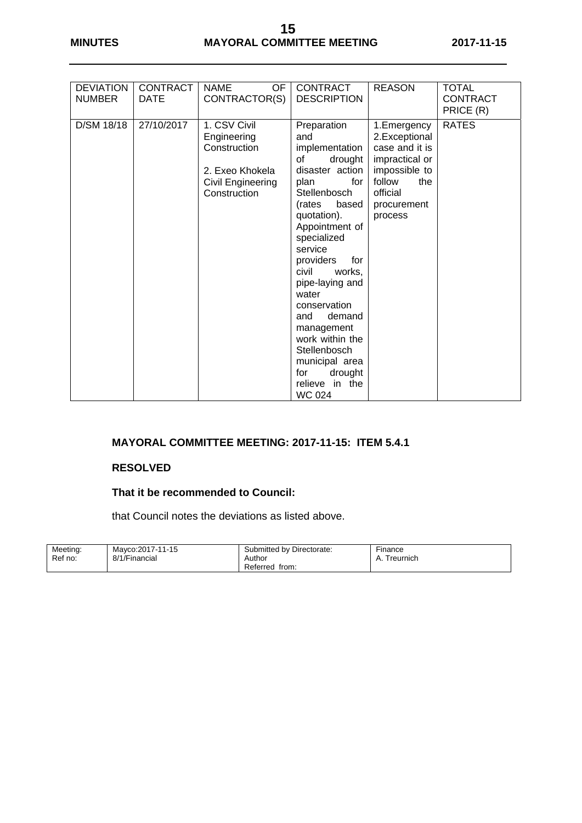| <b>DEVIATION</b><br><b>CONTRACT</b><br><b>CONTRACT</b><br><b>REASON</b><br><b>NAME</b><br>OF<br><b>NUMBER</b><br>CONTRACTOR(S)<br><b>DESCRIPTION</b><br><b>DATE</b>                                                                                                                                                                                                                                                                                                                                                                                                                                                                                                                               | <b>TOTAL</b><br><b>CONTRACT</b> |
|---------------------------------------------------------------------------------------------------------------------------------------------------------------------------------------------------------------------------------------------------------------------------------------------------------------------------------------------------------------------------------------------------------------------------------------------------------------------------------------------------------------------------------------------------------------------------------------------------------------------------------------------------------------------------------------------------|---------------------------------|
|                                                                                                                                                                                                                                                                                                                                                                                                                                                                                                                                                                                                                                                                                                   | PRICE (R)                       |
| 1. CSV Civil<br>D/SM 18/18<br>27/10/2017<br>Preparation<br>1. Emergency<br>2.Exceptional<br>Engineering<br>and<br>case and it is<br>Construction<br>implementation<br>of<br>drought<br>impractical or<br>disaster action<br>impossible to<br>2. Exeo Khokela<br>for<br>follow<br>the<br>Civil Engineering<br>plan<br>official<br>Construction<br>Stellenbosch<br>based<br>(rates<br>procurement<br>quotation).<br>process<br>Appointment of<br>specialized<br>service<br>providers<br>for<br>civil<br>works,<br>pipe-laying and<br>water<br>conservation<br>demand<br>and<br>management<br>work within the<br>Stellenbosch<br>municipal area<br>drought<br>for<br>relieve in the<br><b>WC 024</b> | <b>RATES</b>                    |

#### **MAYORAL COMMITTEE MEETING: 2017-11-15: ITEM 5.4.1**

#### **RESOLVED**

### **That it be recommended to Council:**

that Council notes the deviations as listed above.

| Meeting: | Mayco: 2017-11-15 | Submitted by Directorate: | Finance         |
|----------|-------------------|---------------------------|-----------------|
| Ref no:  | 8/1/Financial     | Author                    | Treurnich<br>A. |
|          |                   | Referred<br>from:         |                 |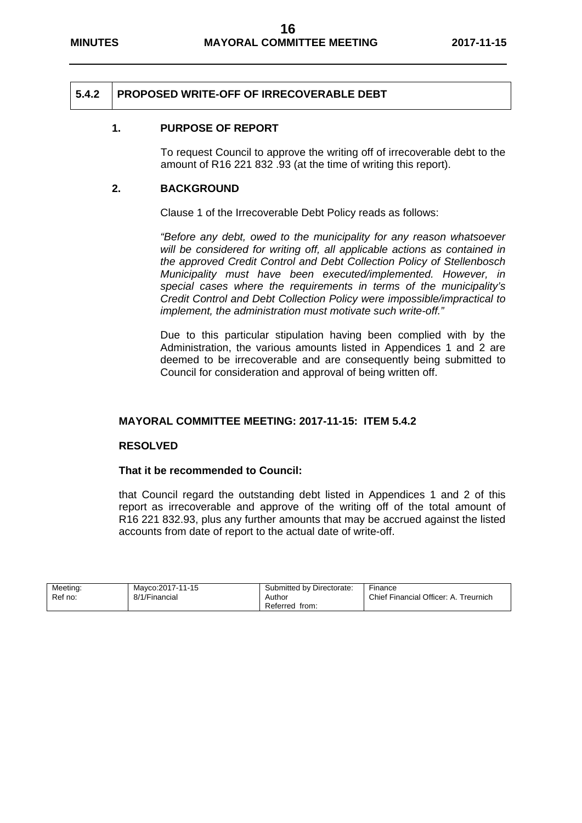#### **5.4.2 PROPOSED WRITE-OFF OF IRRECOVERABLE DEBT**

#### **1. PURPOSE OF REPORT**

To request Council to approve the writing off of irrecoverable debt to the amount of R16 221 832 .93 (at the time of writing this report).

#### **2. BACKGROUND**

Clause 1 of the Irrecoverable Debt Policy reads as follows:

*"Before any debt, owed to the municipality for any reason whatsoever will be considered for writing off, all applicable actions as contained in the approved Credit Control and Debt Collection Policy of Stellenbosch Municipality must have been executed/implemented. However, in special cases where the requirements in terms of the municipality's Credit Control and Debt Collection Policy were impossible/impractical to implement, the administration must motivate such write-off."* 

Due to this particular stipulation having been complied with by the Administration, the various amounts listed in Appendices 1 and 2 are deemed to be irrecoverable and are consequently being submitted to Council for consideration and approval of being written off.

#### **MAYORAL COMMITTEE MEETING: 2017-11-15: ITEM 5.4.2**

#### **RESOLVED**

#### **That it be recommended to Council:**

that Council regard the outstanding debt listed in Appendices 1 and 2 of this report as irrecoverable and approve of the writing off of the total amount of R16 221 832.93, plus any further amounts that may be accrued against the listed accounts from date of report to the actual date of write-off.

| Meeting: | Mayco: 2017-11-15 | Submitted by Directorate: | Finance                               |
|----------|-------------------|---------------------------|---------------------------------------|
| Ref no:  | 8/1/Financial     | Author                    | Chief Financial Officer: A. Treurnich |
|          |                   | Referred<br>from.         |                                       |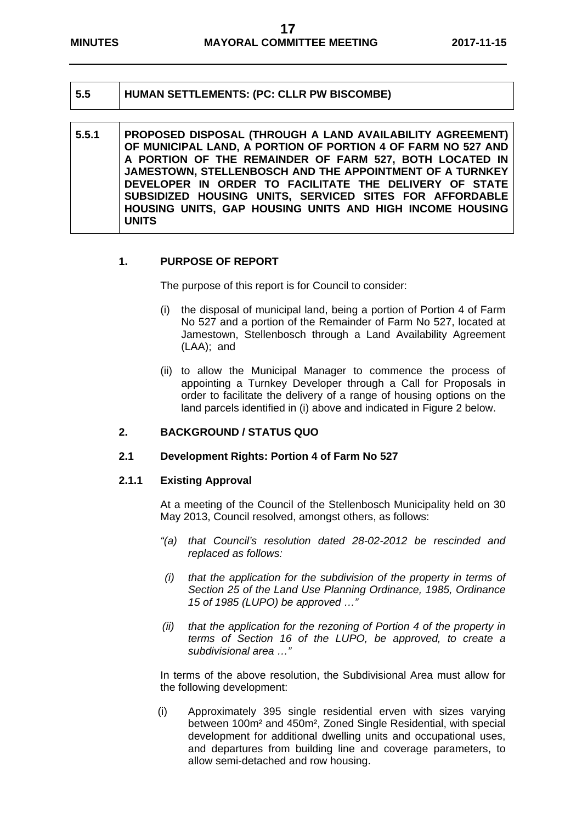#### **5.5 HUMAN SETTLEMENTS: (PC: CLLR PW BISCOMBE)**

#### **5.5.1 PROPOSED DISPOSAL (THROUGH A LAND AVAILABILITY AGREEMENT) OF MUNICIPAL LAND, A PORTION OF PORTION 4 OF FARM NO 527 AND A PORTION OF THE REMAINDER OF FARM 527, BOTH LOCATED IN JAMESTOWN, STELLENBOSCH AND THE APPOINTMENT OF A TURNKEY DEVELOPER IN ORDER TO FACILITATE THE DELIVERY OF STATE SUBSIDIZED HOUSING UNITS, SERVICED SITES FOR AFFORDABLE HOUSING UNITS, GAP HOUSING UNITS AND HIGH INCOME HOUSING UNITS**

#### **1. PURPOSE OF REPORT**

The purpose of this report is for Council to consider:

- (i) the disposal of municipal land, being a portion of Portion 4 of Farm No 527 and a portion of the Remainder of Farm No 527, located at Jamestown, Stellenbosch through a Land Availability Agreement (LAA); and
- (ii) to allow the Municipal Manager to commence the process of appointing a Turnkey Developer through a Call for Proposals in order to facilitate the delivery of a range of housing options on the land parcels identified in (i) above and indicated in Figure 2 below.

#### **2. BACKGROUND / STATUS QUO**

#### **2.1 Development Rights: Portion 4 of Farm No 527**

#### **2.1.1 Existing Approval**

At a meeting of the Council of the Stellenbosch Municipality held on 30 May 2013, Council resolved, amongst others, as follows:

- *"(a) that Council's resolution dated 28-02-2012 be rescinded and replaced as follows:*
- *(i) that the application for the subdivision of the property in terms of Section 25 of the Land Use Planning Ordinance, 1985, Ordinance 15 of 1985 (LUPO) be approved …"*
- *(ii) that the application for the rezoning of Portion 4 of the property in terms of Section 16 of the LUPO, be approved, to create a subdivisional area …"*

In terms of the above resolution, the Subdivisional Area must allow for the following development:

(i) Approximately 395 single residential erven with sizes varying between 100m² and 450m², Zoned Single Residential, with special development for additional dwelling units and occupational uses, and departures from building line and coverage parameters, to allow semi-detached and row housing.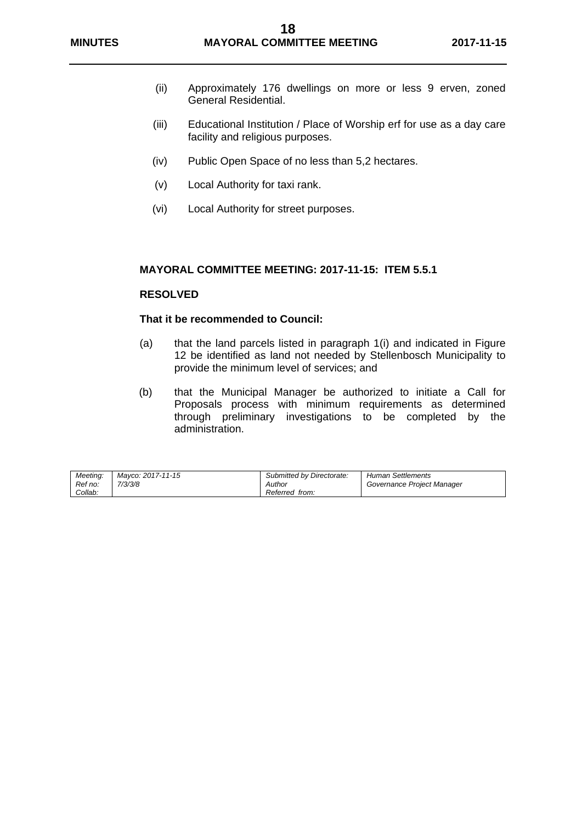- (ii) Approximately 176 dwellings on more or less 9 erven, zoned General Residential.
- (iii) Educational Institution / Place of Worship erf for use as a day care facility and religious purposes.
- (iv) Public Open Space of no less than 5,2 hectares.
- (v) Local Authority for taxi rank.
- (vi) Local Authority for street purposes.

#### **MAYORAL COMMITTEE MEETING: 2017-11-15: ITEM 5.5.1**

#### **RESOLVED**

#### **That it be recommended to Council:**

- (a) that the land parcels listed in paragraph 1(i) and indicated in Figure 12 be identified as land not needed by Stellenbosch Municipality to provide the minimum level of services; and
- (b) that the Municipal Manager be authorized to initiate a Call for Proposals process with minimum requirements as determined through preliminary investigations to be completed by the administration.

| Meeting:<br>Ref no:<br>Collab: | Mavco: 2017-11-15<br>7/3/3/8 | Submitted by Directorate:<br>Author<br>Referred from: | <b>Human Settlements</b><br>Governance Project Manager |
|--------------------------------|------------------------------|-------------------------------------------------------|--------------------------------------------------------|
|--------------------------------|------------------------------|-------------------------------------------------------|--------------------------------------------------------|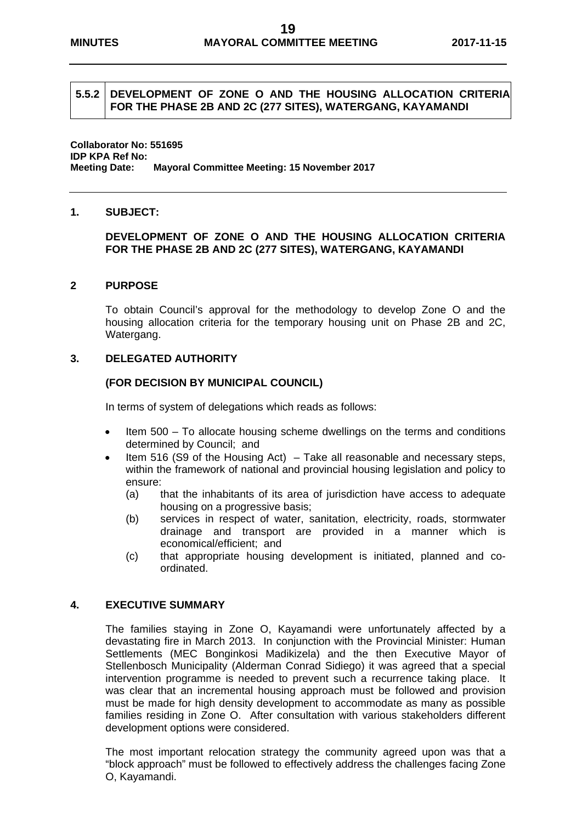#### **5.5.2 DEVELOPMENT OF ZONE O AND THE HOUSING ALLOCATION CRITERIA FOR THE PHASE 2B AND 2C (277 SITES), WATERGANG, KAYAMANDI**

**Collaborator No: 551695 IDP KPA Ref No: Meeting Date: Mayoral Committee Meeting: 15 November 2017** 

#### **1. SUBJECT:**

#### **DEVELOPMENT OF ZONE O AND THE HOUSING ALLOCATION CRITERIA FOR THE PHASE 2B AND 2C (277 SITES), WATERGANG, KAYAMANDI**

#### **2 PURPOSE**

To obtain Council's approval for the methodology to develop Zone O and the housing allocation criteria for the temporary housing unit on Phase 2B and 2C, Watergang.

#### **3. DELEGATED AUTHORITY**

#### **(FOR DECISION BY MUNICIPAL COUNCIL)**

In terms of system of delegations which reads as follows:

- Item 500 To allocate housing scheme dwellings on the terms and conditions determined by Council; and
- Item 516 (S9 of the Housing Act) Take all reasonable and necessary steps, within the framework of national and provincial housing legislation and policy to ensure:
	- (a) that the inhabitants of its area of jurisdiction have access to adequate housing on a progressive basis;
	- (b) services in respect of water, sanitation, electricity, roads, stormwater drainage and transport are provided in a manner which is economical/efficient; and
	- (c) that appropriate housing development is initiated, planned and coordinated.

#### **4. EXECUTIVE SUMMARY**

The families staying in Zone O, Kayamandi were unfortunately affected by a devastating fire in March 2013. In conjunction with the Provincial Minister: Human Settlements (MEC Bonginkosi Madikizela) and the then Executive Mayor of Stellenbosch Municipality (Alderman Conrad Sidiego) it was agreed that a special intervention programme is needed to prevent such a recurrence taking place. It was clear that an incremental housing approach must be followed and provision must be made for high density development to accommodate as many as possible families residing in Zone O. After consultation with various stakeholders different development options were considered.

The most important relocation strategy the community agreed upon was that a "block approach" must be followed to effectively address the challenges facing Zone O, Kayamandi.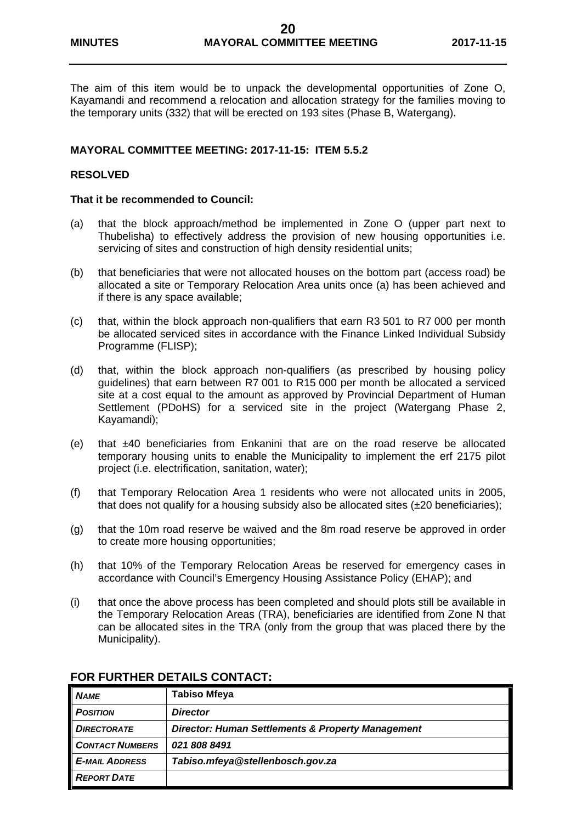The aim of this item would be to unpack the developmental opportunities of Zone O, Kayamandi and recommend a relocation and allocation strategy for the families moving to the temporary units (332) that will be erected on 193 sites (Phase B, Watergang).

#### **MAYORAL COMMITTEE MEETING: 2017-11-15: ITEM 5.5.2**

#### **RESOLVED**

#### **That it be recommended to Council:**

- (a) that the block approach/method be implemented in Zone O (upper part next to Thubelisha) to effectively address the provision of new housing opportunities i.e. servicing of sites and construction of high density residential units;
- (b) that beneficiaries that were not allocated houses on the bottom part (access road) be allocated a site or Temporary Relocation Area units once (a) has been achieved and if there is any space available;
- (c) that, within the block approach non-qualifiers that earn R3 501 to R7 000 per month be allocated serviced sites in accordance with the Finance Linked Individual Subsidy Programme (FLISP);
- (d) that, within the block approach non-qualifiers (as prescribed by housing policy guidelines) that earn between R7 001 to R15 000 per month be allocated a serviced site at a cost equal to the amount as approved by Provincial Department of Human Settlement (PDoHS) for a serviced site in the project (Watergang Phase 2, Kayamandi);
- (e) that ±40 beneficiaries from Enkanini that are on the road reserve be allocated temporary housing units to enable the Municipality to implement the erf 2175 pilot project (i.e. electrification, sanitation, water);
- (f) that Temporary Relocation Area 1 residents who were not allocated units in 2005, that does not qualify for a housing subsidy also be allocated sites  $(\pm 20$  beneficiaries);
- (g) that the 10m road reserve be waived and the 8m road reserve be approved in order to create more housing opportunities;
- (h) that 10% of the Temporary Relocation Areas be reserved for emergency cases in accordance with Council's Emergency Housing Assistance Policy (EHAP); and
- (i) that once the above process has been completed and should plots still be available in the Temporary Relocation Areas (TRA), beneficiaries are identified from Zone N that can be allocated sites in the TRA (only from the group that was placed there by the Municipality).

| <b>NAME</b>            | <b>Tabiso Mfeya</b>                               |  |
|------------------------|---------------------------------------------------|--|
| <b>POSITION</b>        | <b>Director</b>                                   |  |
| <b>DIRECTORATE</b>     | Director: Human Settlements & Property Management |  |
| <b>CONTACT NUMBERS</b> | 0218088491                                        |  |
| <b>E-MAIL ADDRESS</b>  | Tabiso.mfeya@stellenbosch.gov.za                  |  |
| <b>REPORT DATE</b>     |                                                   |  |

#### **FOR FURTHER DETAILS CONTACT:**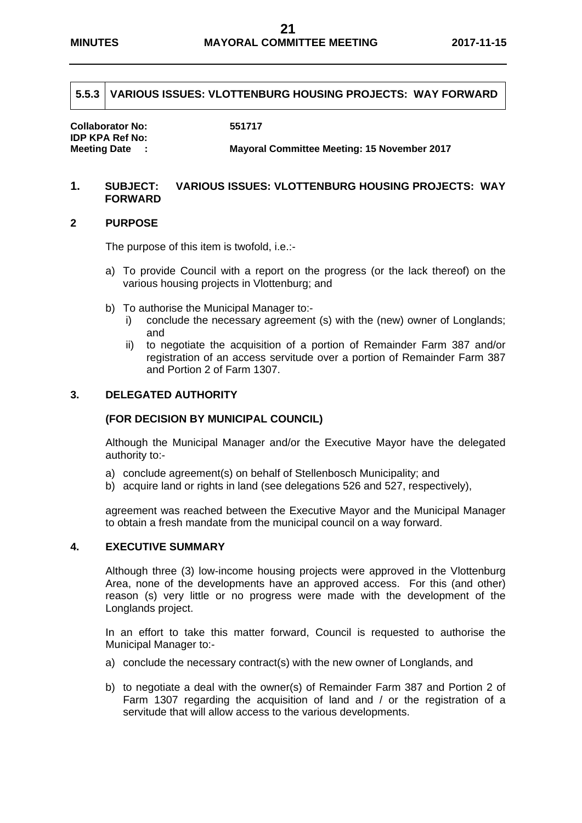#### **5.5.3 VARIOUS ISSUES: VLOTTENBURG HOUSING PROJECTS: WAY FORWARD**

**Collaborator No: 551717 IDP KPA Ref No:** 

**Meeting Date : Mayoral Committee Meeting: 15 November 2017** 

#### **1. SUBJECT: VARIOUS ISSUES: VLOTTENBURG HOUSING PROJECTS: WAY FORWARD**

#### **2 PURPOSE**

The purpose of this item is twofold, i.e.:-

- a) To provide Council with a report on the progress (or the lack thereof) on the various housing projects in Vlottenburg; and
- b) To authorise the Municipal Manager to:
	- i) conclude the necessary agreement (s) with the (new) owner of Longlands; and
	- ii) to negotiate the acquisition of a portion of Remainder Farm 387 and/or registration of an access servitude over a portion of Remainder Farm 387 and Portion 2 of Farm 1307.

#### **3. DELEGATED AUTHORITY**

#### **(FOR DECISION BY MUNICIPAL COUNCIL)**

Although the Municipal Manager and/or the Executive Mayor have the delegated authority to:-

- a) conclude agreement(s) on behalf of Stellenbosch Municipality; and
- b) acquire land or rights in land (see delegations 526 and 527, respectively),

agreement was reached between the Executive Mayor and the Municipal Manager to obtain a fresh mandate from the municipal council on a way forward.

#### **4. EXECUTIVE SUMMARY**

Although three (3) low-income housing projects were approved in the Vlottenburg Area, none of the developments have an approved access. For this (and other) reason (s) very little or no progress were made with the development of the Longlands project.

In an effort to take this matter forward, Council is requested to authorise the Municipal Manager to:-

- a) conclude the necessary contract(s) with the new owner of Longlands, and
- b) to negotiate a deal with the owner(s) of Remainder Farm 387 and Portion 2 of Farm 1307 regarding the acquisition of land and / or the registration of a servitude that will allow access to the various developments.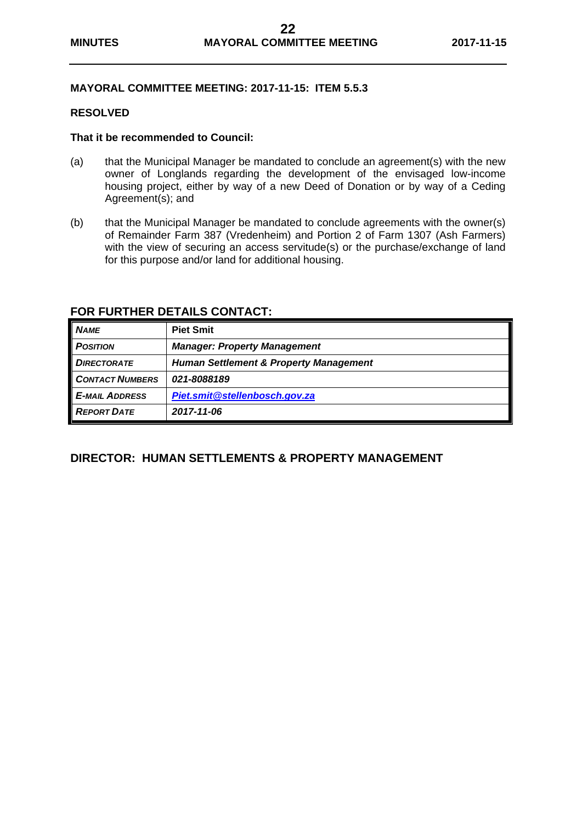#### **MAYORAL COMMITTEE MEETING: 2017-11-15: ITEM 5.5.3**

#### **RESOLVED**

#### **That it be recommended to Council:**

- (a) that the Municipal Manager be mandated to conclude an agreement(s) with the new owner of Longlands regarding the development of the envisaged low-income housing project, either by way of a new Deed of Donation or by way of a Ceding Agreement(s); and
- (b) that the Municipal Manager be mandated to conclude agreements with the owner(s) of Remainder Farm 387 (Vredenheim) and Portion 2 of Farm 1307 (Ash Farmers) with the view of securing an access servitude(s) or the purchase/exchange of land for this purpose and/or land for additional housing.

| <b>NAME</b>            | <b>Piet Smit</b>                                  |
|------------------------|---------------------------------------------------|
| <b>POSITION</b>        | <b>Manager: Property Management</b>               |
| <b>DIRECTORATE</b>     | <b>Human Settlement &amp; Property Management</b> |
| <b>CONTACT NUMBERS</b> | 021-8088189                                       |
| <b>E-MAIL ADDRESS</b>  | Piet.smit@stellenbosch.gov.za                     |
| <b>REPORT DATE</b>     | 2017-11-06                                        |

#### **FOR FURTHER DETAILS CONTACT:**

#### **DIRECTOR: HUMAN SETTLEMENTS & PROPERTY MANAGEMENT**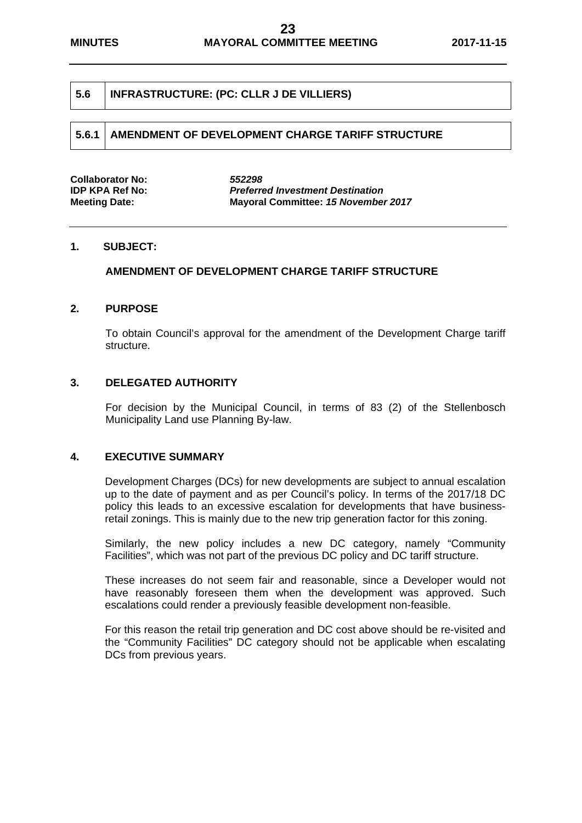#### **5.6 INFRASTRUCTURE: (PC: CLLR J DE VILLIERS)**

| Collaborator No:     | 552298                                     |
|----------------------|--------------------------------------------|
| IDP KPA Ref No:      | <b>Preferred Investment Destination</b>    |
| <b>Meeting Date:</b> | <b>Mayoral Committee: 15 November 2017</b> |

#### **1. SUBJECT:**

#### **AMENDMENT OF DEVELOPMENT CHARGE TARIFF STRUCTURE**

#### **2. PURPOSE**

To obtain Council's approval for the amendment of the Development Charge tariff structure.

#### **3. DELEGATED AUTHORITY**

For decision by the Municipal Council, in terms of 83 (2) of the Stellenbosch Municipality Land use Planning By-law.

#### **4. EXECUTIVE SUMMARY**

Development Charges (DCs) for new developments are subject to annual escalation up to the date of payment and as per Council's policy. In terms of the 2017/18 DC policy this leads to an excessive escalation for developments that have businessretail zonings. This is mainly due to the new trip generation factor for this zoning.

Similarly, the new policy includes a new DC category, namely "Community Facilities", which was not part of the previous DC policy and DC tariff structure.

These increases do not seem fair and reasonable, since a Developer would not have reasonably foreseen them when the development was approved. Such escalations could render a previously feasible development non-feasible.

For this reason the retail trip generation and DC cost above should be re-visited and the "Community Facilities" DC category should not be applicable when escalating DCs from previous years.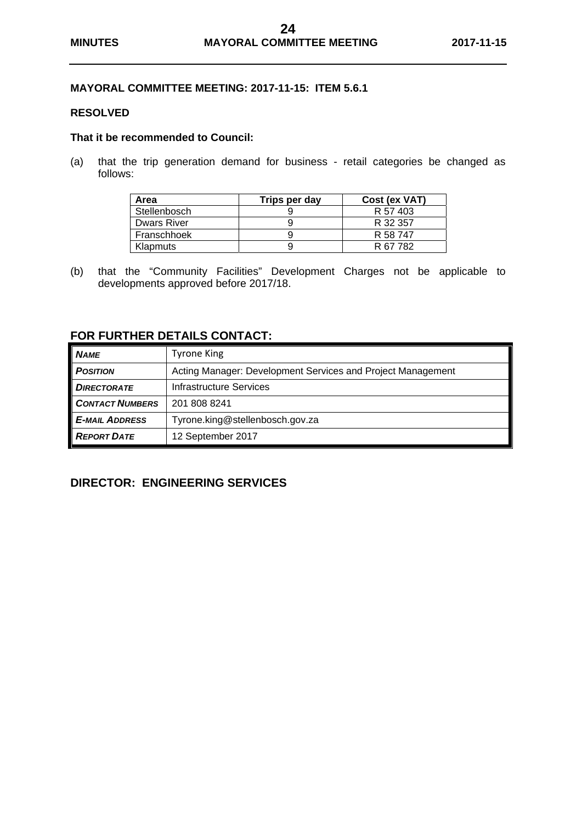#### **MAYORAL COMMITTEE MEETING: 2017-11-15: ITEM 5.6.1**

#### **RESOLVED**

#### **That it be recommended to Council:**

(a) that the trip generation demand for business - retail categories be changed as follows:

| Area               | Trips per day | Cost (ex VAT) |
|--------------------|---------------|---------------|
| Stellenbosch       |               | R 57 403      |
| <b>Dwars River</b> |               | R 32 357      |
| Franschhoek        |               | R 58 747      |
| Klapmuts           |               | R 67 782      |

(b) that the "Community Facilities" Development Charges not be applicable to developments approved before 2017/18.

#### **FOR FURTHER DETAILS CONTACT:**

| <b>NAME</b>            | <b>Tyrone King</b>                                          |
|------------------------|-------------------------------------------------------------|
| <b>POSITION</b>        | Acting Manager: Development Services and Project Management |
| <b>DIRECTORATE</b>     | Infrastructure Services                                     |
| <b>CONTACT NUMBERS</b> | 201 808 8241                                                |
| <b>E-MAIL ADDRESS</b>  | Tyrone.king@stellenbosch.gov.za                             |
| <b>REPORT DATE</b>     | 12 September 2017                                           |

#### **DIRECTOR: ENGINEERING SERVICES**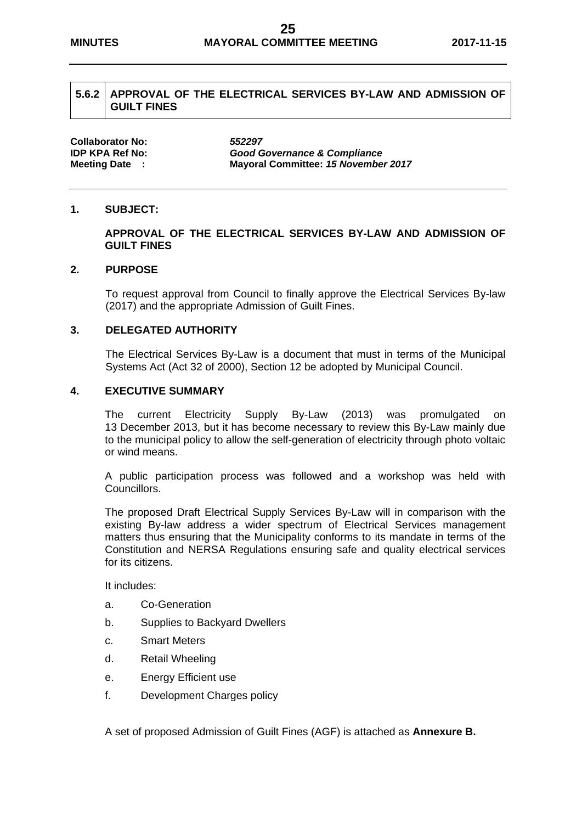#### **5.6.2 APPROVAL OF THE ELECTRICAL SERVICES BY-LAW AND ADMISSION OF GUILT FINES**

**Collaborator No:** *552297*

**IDP KPA Ref No:** *Good Governance & Compliance* **Meeting Date : Mayoral Committee:** *15 November 2017* 

#### **1. SUBJECT:**

#### **APPROVAL OF THE ELECTRICAL SERVICES BY-LAW AND ADMISSION OF GUILT FINES**

#### **2. PURPOSE**

To request approval from Council to finally approve the Electrical Services By-law (2017) and the appropriate Admission of Guilt Fines.

#### **3. DELEGATED AUTHORITY**

The Electrical Services By-Law is a document that must in terms of the Municipal Systems Act (Act 32 of 2000), Section 12 be adopted by Municipal Council.

#### **4. EXECUTIVE SUMMARY**

The current Electricity Supply By-Law (2013) was promulgated on 13 December 2013, but it has become necessary to review this By-Law mainly due to the municipal policy to allow the self-generation of electricity through photo voltaic or wind means.

A public participation process was followed and a workshop was held with Councillors.

The proposed Draft Electrical Supply Services By-Law will in comparison with the existing By-law address a wider spectrum of Electrical Services management matters thus ensuring that the Municipality conforms to its mandate in terms of the Constitution and NERSA Regulations ensuring safe and quality electrical services for its citizens.

It includes:

- a. Co-Generation
- b. Supplies to Backyard Dwellers
- c. Smart Meters
- d. Retail Wheeling
- e. Energy Efficient use
- f. Development Charges policy

A set of proposed Admission of Guilt Fines (AGF) is attached as **Annexure B.**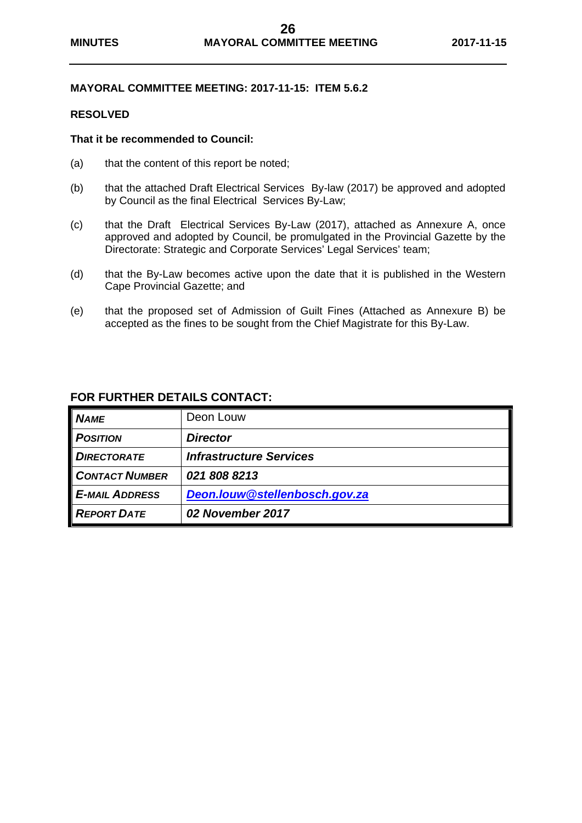#### **MAYORAL COMMITTEE MEETING: 2017-11-15: ITEM 5.6.2**

#### **RESOLVED**

#### **That it be recommended to Council:**

- (a) that the content of this report be noted;
- (b) that the attached Draft Electrical Services By-law (2017) be approved and adopted by Council as the final Electrical Services By-Law;
- (c) that the Draft Electrical Services By-Law (2017), attached as Annexure A, once approved and adopted by Council, be promulgated in the Provincial Gazette by the Directorate: Strategic and Corporate Services' Legal Services' team;
- (d) that the By-Law becomes active upon the date that it is published in the Western Cape Provincial Gazette; and
- (e) that the proposed set of Admission of Guilt Fines (Attached as Annexure B) be accepted as the fines to be sought from the Chief Magistrate for this By-Law.

| <b>NAME</b>           | Deon Louw                      |
|-----------------------|--------------------------------|
| <b>POSITION</b>       | <b>Director</b>                |
| <b>DIRECTORATE</b>    | <b>Infrastructure Services</b> |
| <b>CONTACT NUMBER</b> | 0218088213                     |
| <b>E-MAIL ADDRESS</b> | Deon.louw@stellenbosch.gov.za  |
| <b>REPORT DATE</b>    | 02 November 2017               |

#### **FOR FURTHER DETAILS CONTACT:**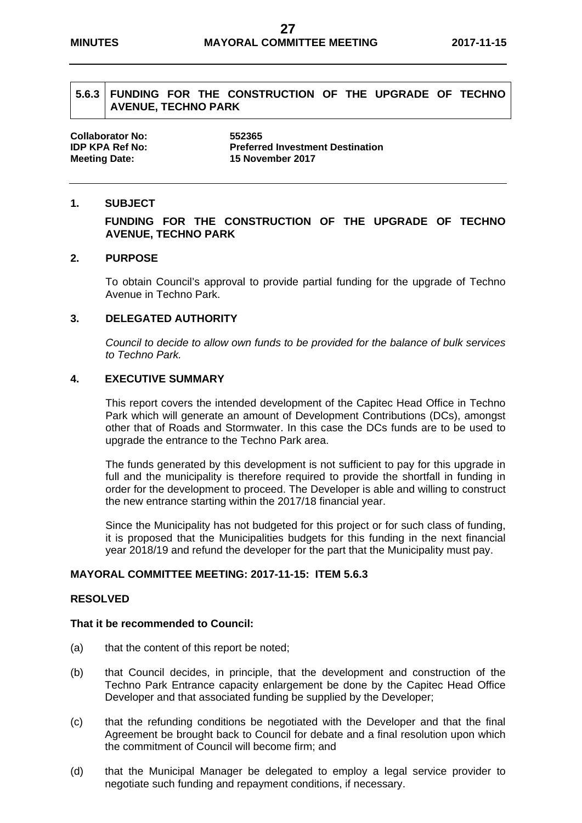#### **5.6.3 FUNDING FOR THE CONSTRUCTION OF THE UPGRADE OF TECHNO AVENUE, TECHNO PARK**

**Collaborator No: 552365 IDP KPA Ref No: Preferred Investment Destination Meeting Date: 15 November 2017** 

#### **1. SUBJECT**

#### **FUNDING FOR THE CONSTRUCTION OF THE UPGRADE OF TECHNO AVENUE, TECHNO PARK**

#### **2. PURPOSE**

To obtain Council's approval to provide partial funding for the upgrade of Techno Avenue in Techno Park.

#### **3. DELEGATED AUTHORITY**

*Council to decide to allow own funds to be provided for the balance of bulk services to Techno Park.* 

#### **4. EXECUTIVE SUMMARY**

This report covers the intended development of the Capitec Head Office in Techno Park which will generate an amount of Development Contributions (DCs), amongst other that of Roads and Stormwater. In this case the DCs funds are to be used to upgrade the entrance to the Techno Park area.

The funds generated by this development is not sufficient to pay for this upgrade in full and the municipality is therefore required to provide the shortfall in funding in order for the development to proceed. The Developer is able and willing to construct the new entrance starting within the 2017/18 financial year.

Since the Municipality has not budgeted for this project or for such class of funding, it is proposed that the Municipalities budgets for this funding in the next financial year 2018/19 and refund the developer for the part that the Municipality must pay.

#### **MAYORAL COMMITTEE MEETING: 2017-11-15: ITEM 5.6.3**

#### **RESOLVED**

#### **That it be recommended to Council:**

- (a) that the content of this report be noted;
- (b) that Council decides, in principle, that the development and construction of the Techno Park Entrance capacity enlargement be done by the Capitec Head Office Developer and that associated funding be supplied by the Developer;
- (c) that the refunding conditions be negotiated with the Developer and that the final Agreement be brought back to Council for debate and a final resolution upon which the commitment of Council will become firm; and
- (d) that the Municipal Manager be delegated to employ a legal service provider to negotiate such funding and repayment conditions, if necessary.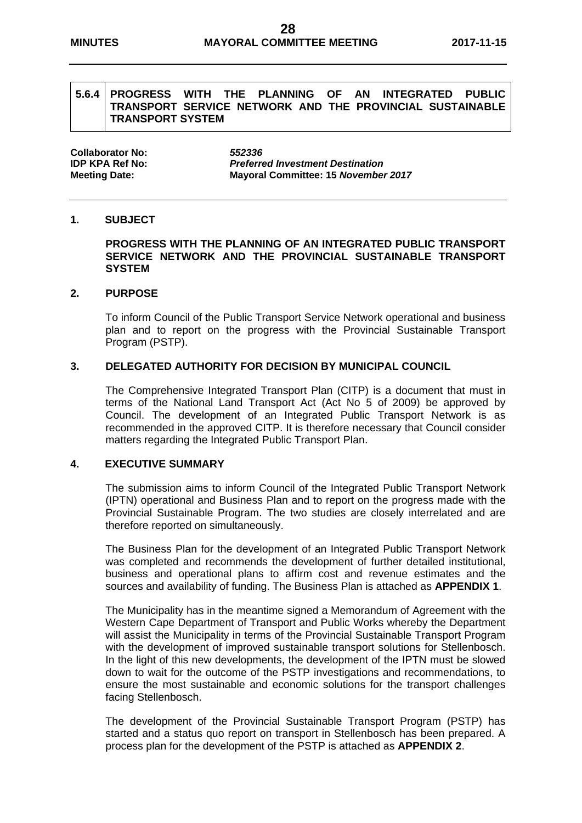#### **5.6.4 PROGRESS WITH THE PLANNING OF AN INTEGRATED PUBLIC TRANSPORT SERVICE NETWORK AND THE PROVINCIAL SUSTAINABLE TRANSPORT SYSTEM**

**Collaborator No:** *552336*

**IDP KPA Ref No:** *Preferred Investment Destination* **Meeting Date: Mayoral Committee: 15** *November 2017* 

#### **1. SUBJECT**

**PROGRESS WITH THE PLANNING OF AN INTEGRATED PUBLIC TRANSPORT SERVICE NETWORK AND THE PROVINCIAL SUSTAINABLE TRANSPORT SYSTEM** 

#### **2. PURPOSE**

To inform Council of the Public Transport Service Network operational and business plan and to report on the progress with the Provincial Sustainable Transport Program (PSTP).

#### **3. DELEGATED AUTHORITY FOR DECISION BY MUNICIPAL COUNCIL**

The Comprehensive Integrated Transport Plan (CITP) is a document that must in terms of the National Land Transport Act (Act No 5 of 2009) be approved by Council. The development of an Integrated Public Transport Network is as recommended in the approved CITP. It is therefore necessary that Council consider matters regarding the Integrated Public Transport Plan.

#### **4. EXECUTIVE SUMMARY**

The submission aims to inform Council of the Integrated Public Transport Network (IPTN) operational and Business Plan and to report on the progress made with the Provincial Sustainable Program. The two studies are closely interrelated and are therefore reported on simultaneously.

The Business Plan for the development of an Integrated Public Transport Network was completed and recommends the development of further detailed institutional, business and operational plans to affirm cost and revenue estimates and the sources and availability of funding. The Business Plan is attached as **APPENDIX 1**.

The Municipality has in the meantime signed a Memorandum of Agreement with the Western Cape Department of Transport and Public Works whereby the Department will assist the Municipality in terms of the Provincial Sustainable Transport Program with the development of improved sustainable transport solutions for Stellenbosch. In the light of this new developments, the development of the IPTN must be slowed down to wait for the outcome of the PSTP investigations and recommendations, to ensure the most sustainable and economic solutions for the transport challenges facing Stellenbosch.

The development of the Provincial Sustainable Transport Program (PSTP) has started and a status quo report on transport in Stellenbosch has been prepared. A process plan for the development of the PSTP is attached as **APPENDIX 2**.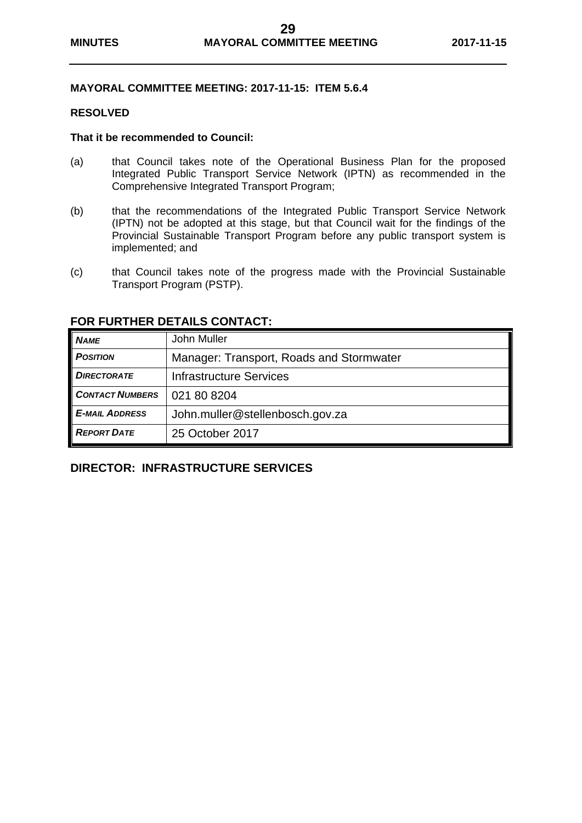#### **MAYORAL COMMITTEE MEETING: 2017-11-15: ITEM 5.6.4**

#### **RESOLVED**

#### **That it be recommended to Council:**

- (a) that Council takes note of the Operational Business Plan for the proposed Integrated Public Transport Service Network (IPTN) as recommended in the Comprehensive Integrated Transport Program;
- (b) that the recommendations of the Integrated Public Transport Service Network (IPTN) not be adopted at this stage, but that Council wait for the findings of the Provincial Sustainable Transport Program before any public transport system is implemented; and
- (c) that Council takes note of the progress made with the Provincial Sustainable Transport Program (PSTP).

| <b>NAME</b>            | John Muller                              |
|------------------------|------------------------------------------|
| <b>POSITION</b>        | Manager: Transport, Roads and Stormwater |
| <b>DIRECTORATE</b>     | <b>Infrastructure Services</b>           |
| <b>CONTACT NUMBERS</b> | 021 80 8204                              |
| <b>E-MAIL ADDRESS</b>  | John.muller@stellenbosch.gov.za          |
| <b>REPORT DATE</b>     | 25 October 2017                          |

#### **FOR FURTHER DETAILS CONTACT:**

## **DIRECTOR: INFRASTRUCTURE SERVICES**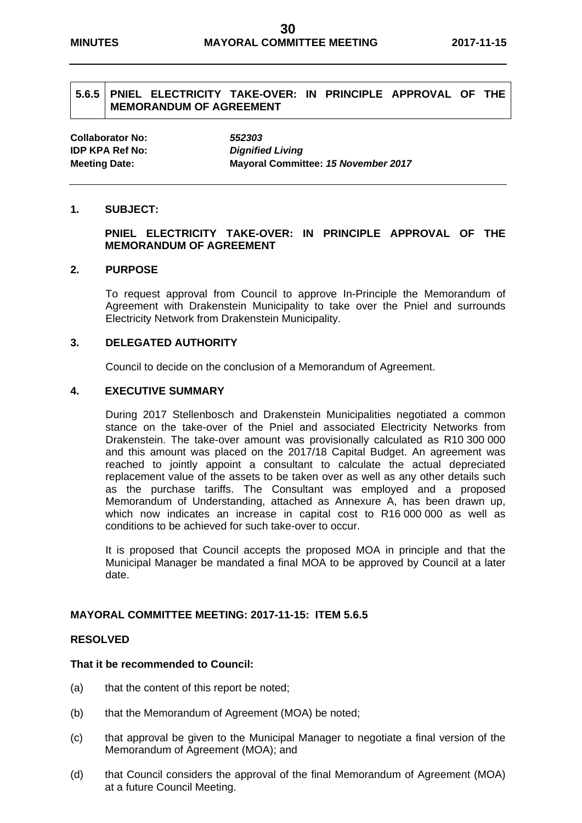#### **5.6.5 PNIEL ELECTRICITY TAKE-OVER: IN PRINCIPLE APPROVAL OF THE MEMORANDUM OF AGREEMENT**

**Collaborator No:** *552303* **IDP KPA Ref No:** *Dignified Living*

**Meeting Date: Mayoral Committee:** *15 November 2017* 

#### **1. SUBJECT:**

#### **PNIEL ELECTRICITY TAKE-OVER: IN PRINCIPLE APPROVAL OF THE MEMORANDUM OF AGREEMENT**

#### **2. PURPOSE**

To request approval from Council to approve In-Principle the Memorandum of Agreement with Drakenstein Municipality to take over the Pniel and surrounds Electricity Network from Drakenstein Municipality.

#### **3. DELEGATED AUTHORITY**

Council to decide on the conclusion of a Memorandum of Agreement.

#### **4. EXECUTIVE SUMMARY**

During 2017 Stellenbosch and Drakenstein Municipalities negotiated a common stance on the take-over of the Pniel and associated Electricity Networks from Drakenstein. The take-over amount was provisionally calculated as R10 300 000 and this amount was placed on the 2017/18 Capital Budget. An agreement was reached to jointly appoint a consultant to calculate the actual depreciated replacement value of the assets to be taken over as well as any other details such as the purchase tariffs. The Consultant was employed and a proposed Memorandum of Understanding, attached as Annexure A, has been drawn up, which now indicates an increase in capital cost to R16 000 000 as well as conditions to be achieved for such take-over to occur.

It is proposed that Council accepts the proposed MOA in principle and that the Municipal Manager be mandated a final MOA to be approved by Council at a later date.

#### **MAYORAL COMMITTEE MEETING: 2017-11-15: ITEM 5.6.5**

#### **RESOLVED**

#### **That it be recommended to Council:**

- (a) that the content of this report be noted;
- (b) that the Memorandum of Agreement (MOA) be noted;
- (c) that approval be given to the Municipal Manager to negotiate a final version of the Memorandum of Agreement (MOA); and
- (d) that Council considers the approval of the final Memorandum of Agreement (MOA) at a future Council Meeting.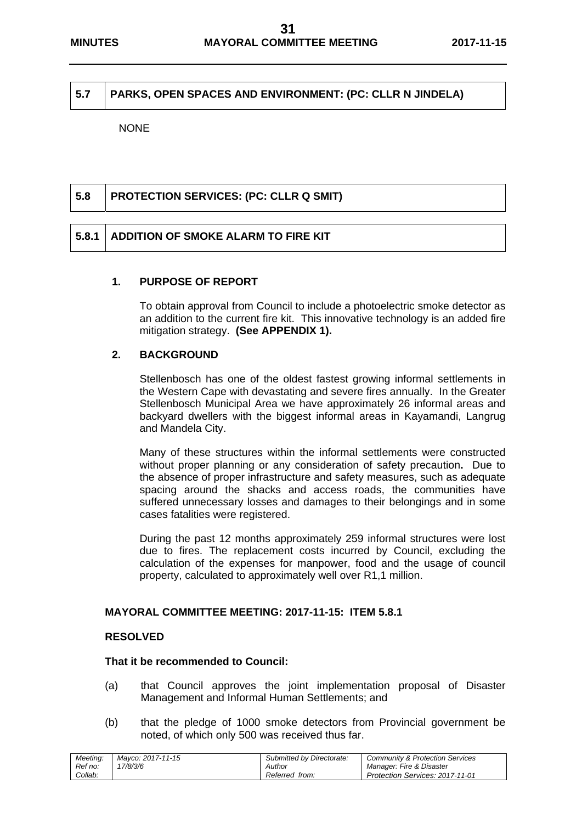#### **5.7 PARKS, OPEN SPACES AND ENVIRONMENT: (PC: CLLR N JINDELA)**

NONE

| 5.8 | <b>PROTECTION SERVICES: (PC: CLLR Q SMIT)</b> |
|-----|-----------------------------------------------|
|     |                                               |
|     |                                               |

#### **1. PURPOSE OF REPORT**

**5.8.1 ADDITION OF SMOKE ALARM TO FIRE KIT** 

To obtain approval from Council to include a photoelectric smoke detector as an addition to the current fire kit. This innovative technology is an added fire mitigation strategy. **(See APPENDIX 1).** 

#### **2. BACKGROUND**

Stellenbosch has one of the oldest fastest growing informal settlements in the Western Cape with devastating and severe fires annually. In the Greater Stellenbosch Municipal Area we have approximately 26 informal areas and backyard dwellers with the biggest informal areas in Kayamandi, Langrug and Mandela City.

Many of these structures within the informal settlements were constructed without proper planning or any consideration of safety precaution**.** Due to the absence of proper infrastructure and safety measures, such as adequate spacing around the shacks and access roads, the communities have suffered unnecessary losses and damages to their belongings and in some cases fatalities were registered.

During the past 12 months approximately 259 informal structures were lost due to fires. The replacement costs incurred by Council, excluding the calculation of the expenses for manpower, food and the usage of council property, calculated to approximately well over R1,1 million.

#### **MAYORAL COMMITTEE MEETING: 2017-11-15: ITEM 5.8.1**

#### **RESOLVED**

#### **That it be recommended to Council:**

- (a) that Council approves the joint implementation proposal of Disaster Management and Informal Human Settlements; and
- (b) that the pledge of 1000 smoke detectors from Provincial government be noted, of which only 500 was received thus far.

| Meeting: | Mavco: 2017-11-15 | Submitted by Directorate: | <b>Community &amp; Protection Services</b> |
|----------|-------------------|---------------------------|--------------------------------------------|
| Ref no:  | 7/8/3/6           | Author                    | Manager: Fire & Disaster                   |
| Collab:  |                   | Referred from:            | <b>Protection Services: 2017-11-01</b>     |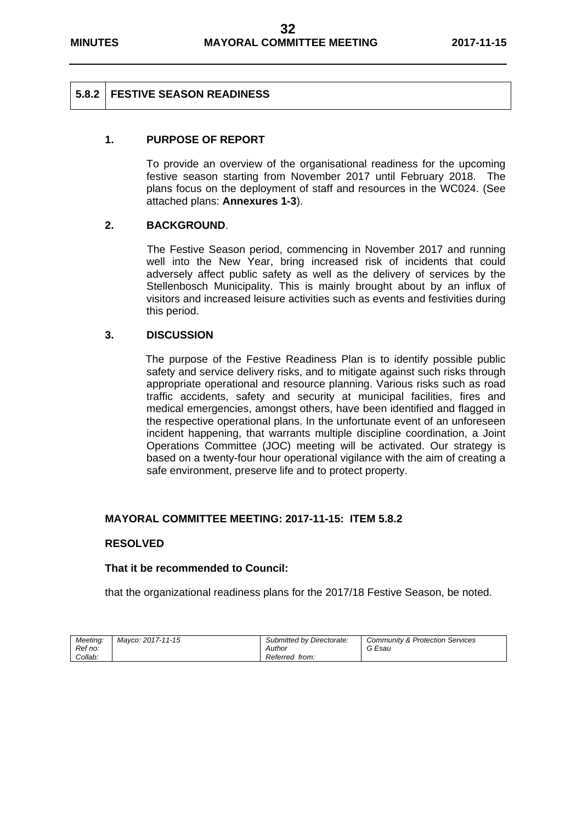#### **5.8.2 FESTIVE SEASON READINESS**

#### **1. PURPOSE OF REPORT**

To provide an overview of the organisational readiness for the upcoming festive season starting from November 2017 until February 2018. The plans focus on the deployment of staff and resources in the WC024. (See attached plans: **Annexures 1-3**).

#### **2. BACKGROUND**.

The Festive Season period, commencing in November 2017 and running well into the New Year, bring increased risk of incidents that could adversely affect public safety as well as the delivery of services by the Stellenbosch Municipality. This is mainly brought about by an influx of visitors and increased leisure activities such as events and festivities during this period.

#### **3. DISCUSSION**

The purpose of the Festive Readiness Plan is to identify possible public safety and service delivery risks, and to mitigate against such risks through appropriate operational and resource planning. Various risks such as road traffic accidents, safety and security at municipal facilities, fires and medical emergencies, amongst others, have been identified and flagged in the respective operational plans. In the unfortunate event of an unforeseen incident happening, that warrants multiple discipline coordination, a Joint Operations Committee (JOC) meeting will be activated. Our strategy is based on a twenty-four hour operational vigilance with the aim of creating a safe environment, preserve life and to protect property.

#### **MAYORAL COMMITTEE MEETING: 2017-11-15: ITEM 5.8.2**

#### **RESOLVED**

#### **That it be recommended to Council:**

that the organizational readiness plans for the 2017/18 Festive Season, be noted.

| Meetina: | Mavco: 2017-11-15 | Submitted by Directorate: | <b>Community &amp; Protection Services</b> |
|----------|-------------------|---------------------------|--------------------------------------------|
| Ref no:  |                   | Author                    |                                            |
| Collab:  |                   | Referred from:            |                                            |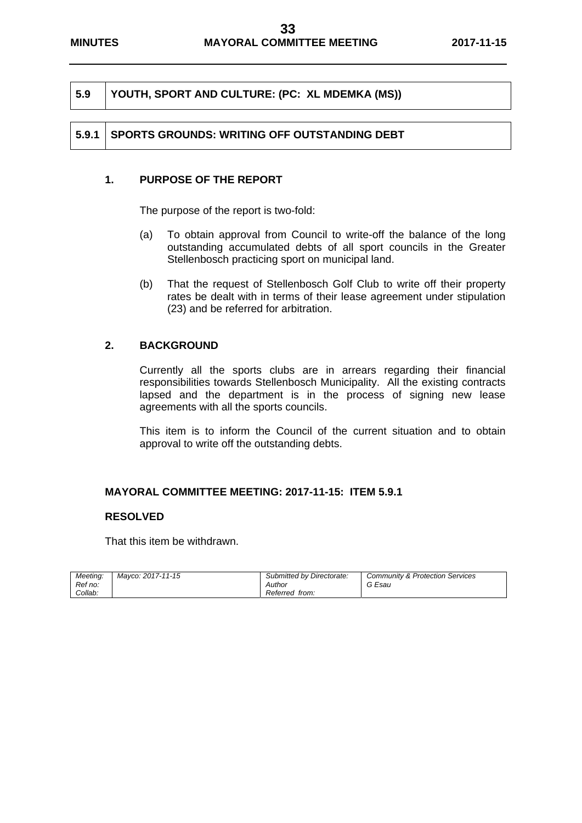|  | $\vert$ 5.9 $\vert$ YOUTH, SPORT AND CULTURE: (PC: XL MDEMKA (MS)) |
|--|--------------------------------------------------------------------|
|--|--------------------------------------------------------------------|

#### **5.9.1 SPORTS GROUNDS: WRITING OFF OUTSTANDING DEBT**

#### **1. PURPOSE OF THE REPORT**

The purpose of the report is two-fold:

- (a) To obtain approval from Council to write-off the balance of the long outstanding accumulated debts of all sport councils in the Greater Stellenbosch practicing sport on municipal land.
- (b) That the request of Stellenbosch Golf Club to write off their property rates be dealt with in terms of their lease agreement under stipulation (23) and be referred for arbitration.

#### **2. BACKGROUND**

Currently all the sports clubs are in arrears regarding their financial responsibilities towards Stellenbosch Municipality. All the existing contracts lapsed and the department is in the process of signing new lease agreements with all the sports councils.

This item is to inform the Council of the current situation and to obtain approval to write off the outstanding debts.

#### **MAYORAL COMMITTEE MEETING: 2017-11-15: ITEM 5.9.1**

#### **RESOLVED**

That this item be withdrawn.

| Meeting:<br>Ref no: | Mavco: 2017-11-15 | Submitted by Directorate:<br>Author | <b>Community &amp; Protection Services</b><br>Esau<br>G |
|---------------------|-------------------|-------------------------------------|---------------------------------------------------------|
| Collab:             |                   | Referred from:                      |                                                         |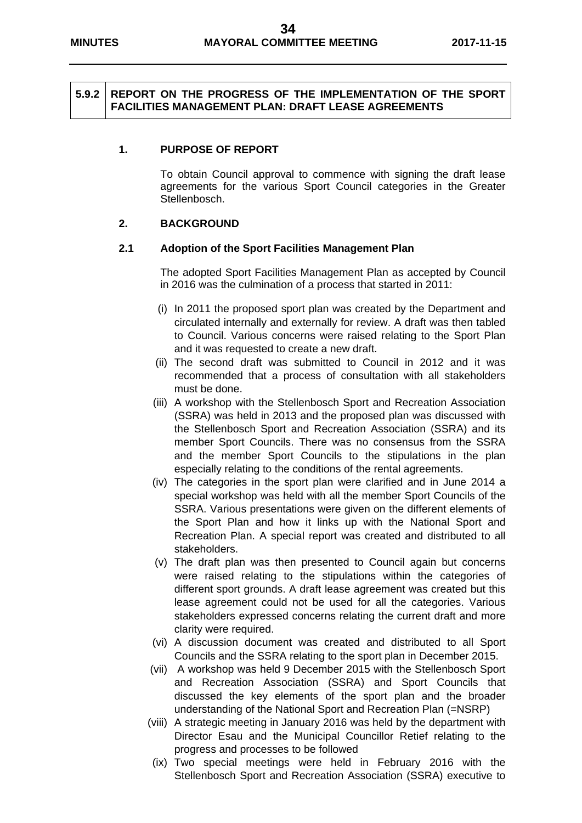#### **5.9.2 REPORT ON THE PROGRESS OF THE IMPLEMENTATION OF THE SPORT FACILITIES MANAGEMENT PLAN: DRAFT LEASE AGREEMENTS**

#### **1. PURPOSE OF REPORT**

To obtain Council approval to commence with signing the draft lease agreements for the various Sport Council categories in the Greater Stellenbosch.

#### **2. BACKGROUND**

#### **2.1 Adoption of the Sport Facilities Management Plan**

The adopted Sport Facilities Management Plan as accepted by Council in 2016 was the culmination of a process that started in 2011:

- (i) In 2011 the proposed sport plan was created by the Department and circulated internally and externally for review. A draft was then tabled to Council. Various concerns were raised relating to the Sport Plan and it was requested to create a new draft.
- (ii) The second draft was submitted to Council in 2012 and it was recommended that a process of consultation with all stakeholders must be done.
- (iii) A workshop with the Stellenbosch Sport and Recreation Association (SSRA) was held in 2013 and the proposed plan was discussed with the Stellenbosch Sport and Recreation Association (SSRA) and its member Sport Councils. There was no consensus from the SSRA and the member Sport Councils to the stipulations in the plan especially relating to the conditions of the rental agreements.
- (iv) The categories in the sport plan were clarified and in June 2014 a special workshop was held with all the member Sport Councils of the SSRA. Various presentations were given on the different elements of the Sport Plan and how it links up with the National Sport and Recreation Plan. A special report was created and distributed to all stakeholders.
- (v) The draft plan was then presented to Council again but concerns were raised relating to the stipulations within the categories of different sport grounds. A draft lease agreement was created but this lease agreement could not be used for all the categories. Various stakeholders expressed concerns relating the current draft and more clarity were required.
- (vi) A discussion document was created and distributed to all Sport Councils and the SSRA relating to the sport plan in December 2015.
- (vii) A workshop was held 9 December 2015 with the Stellenbosch Sport and Recreation Association (SSRA) and Sport Councils that discussed the key elements of the sport plan and the broader understanding of the National Sport and Recreation Plan (=NSRP)
- (viii) A strategic meeting in January 2016 was held by the department with Director Esau and the Municipal Councillor Retief relating to the progress and processes to be followed
- (ix) Two special meetings were held in February 2016 with the Stellenbosch Sport and Recreation Association (SSRA) executive to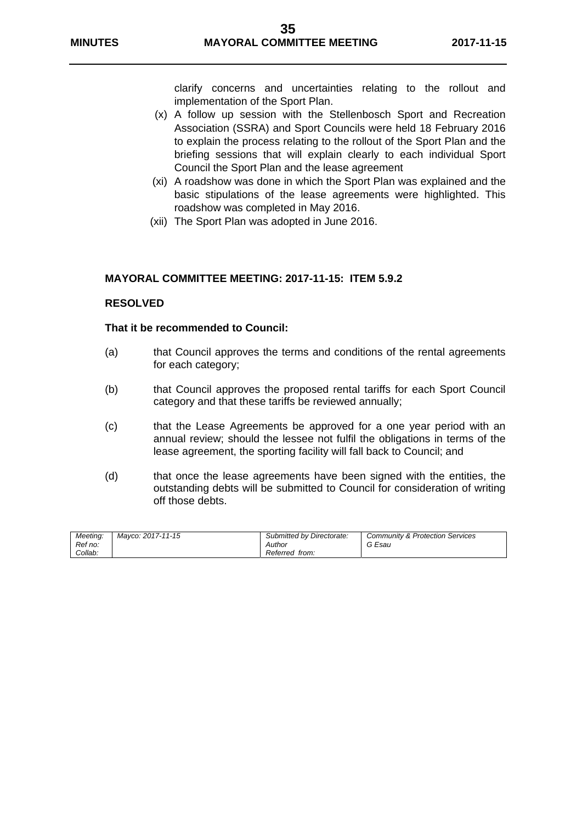clarify concerns and uncertainties relating to the rollout and implementation of the Sport Plan.

- (x) A follow up session with the Stellenbosch Sport and Recreation Association (SSRA) and Sport Councils were held 18 February 2016 to explain the process relating to the rollout of the Sport Plan and the briefing sessions that will explain clearly to each individual Sport Council the Sport Plan and the lease agreement
- (xi) A roadshow was done in which the Sport Plan was explained and the basic stipulations of the lease agreements were highlighted. This roadshow was completed in May 2016.
- (xii) The Sport Plan was adopted in June 2016.

#### **MAYORAL COMMITTEE MEETING: 2017-11-15: ITEM 5.9.2**

#### **RESOLVED**

#### **That it be recommended to Council:**

- (a) that Council approves the terms and conditions of the rental agreements for each category;
- (b) that Council approves the proposed rental tariffs for each Sport Council category and that these tariffs be reviewed annually;
- (c) that the Lease Agreements be approved for a one year period with an annual review; should the lessee not fulfil the obligations in terms of the lease agreement, the sporting facility will fall back to Council; and
- (d) that once the lease agreements have been signed with the entities, the outstanding debts will be submitted to Council for consideration of writing off those debts.

| Meetina: | Mavco: 2017-11-15 | Submitted by Directorate: | Community & Protection Services |
|----------|-------------------|---------------------------|---------------------------------|
| Ref no:  |                   | Author                    | G Esau                          |
| Collab:  |                   | Referred from:            |                                 |